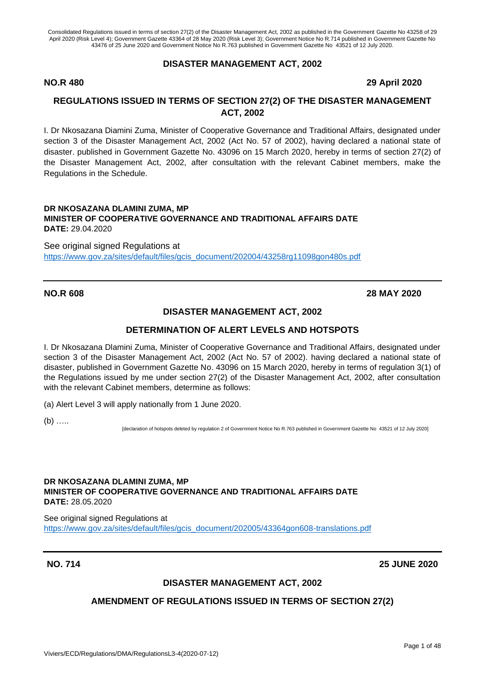#### **DISASTER MANAGEMENT ACT, 2002**

#### **NO.R 480 29 April 2020**

## **REGULATIONS ISSUED IN TERMS OF SECTION 27(2) OF THE DISASTER MANAGEMENT ACT, 2002**

I. Dr Nkosazana Diamini Zuma, Minister of Cooperative Governance and Traditional Affairs, designated under section 3 of the Disaster Management Act, 2002 (Act No. 57 of 2002), having declared a national state of disaster. published in Government Gazette No. 43096 on 15 March 2020, hereby in terms of section 27(2) of the Disaster Management Act, 2002, after consultation with the relevant Cabinet members, make the Regulations in the Schedule.

#### **DR NKOSAZANA DLAMINI ZUMA, MP MINISTER OF COOPERATIVE GOVERNANCE AND TRADITIONAL AFFAIRS DATE DATE:** 29.04.2020

See original signed Regulations at [https://www.gov.za/sites/default/files/gcis\\_document/202004/43258rg11098gon480s.pdf](https://www.gov.za/sites/default/files/gcis_document/202004/43258rg11098gon480s.pdf)

## **NO.R 608 28 MAY 2020**

#### **DISASTER MANAGEMENT ACT, 2002**

#### **DETERMINATION OF ALERT LEVELS AND HOTSPOTS**

I. Dr Nkosazana Dlamini Zuma, Minister of Cooperative Governance and Traditional Affairs, designated under section 3 of the Disaster Management Act, 2002 (Act No. 57 of 2002). having declared a national state of disaster, published in Government Gazette No. 43096 on 15 March 2020, hereby in terms of regulation 3(1) of the Regulations issued by me under section 27(2) of the Disaster Management Act, 2002, after consultation with the relevant Cabinet members, determine as follows:

(a) Alert Level 3 will apply nationally from 1 June 2020.

 $(b)$  ……

[declaration of hotspots deleted by regulation 2 of Government Notice No R.763 published in Government Gazette No 43521 of 12 July 2020]

#### **DR NKOSAZANA DLAMINI ZUMA, MP MINISTER OF COOPERATIVE GOVERNANCE AND TRADITIONAL AFFAIRS DATE DATE:** 28.05.2020

See original signed Regulations at [https://www.gov.za/sites/default/files/gcis\\_document/202005/43364gon608-translations.pdf](https://www.gov.za/sites/default/files/gcis_document/202005/43364gon608-translations.pdf)

#### **NO. 714 25 JUNE 2020**

#### **DISASTER MANAGEMENT ACT, 2002**

#### **AMENDMENT OF REGULATIONS ISSUED IN TERMS OF SECTION 27(2)**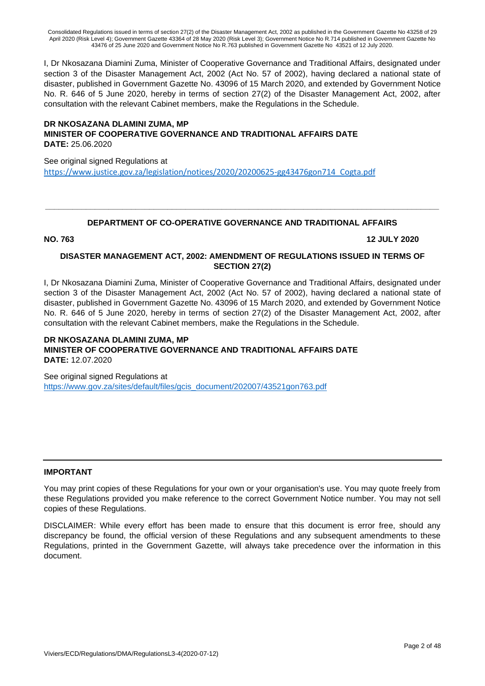I, Dr Nkosazana Diamini Zuma, Minister of Cooperative Governance and Traditional Affairs, designated under section 3 of the Disaster Management Act, 2002 (Act No. 57 of 2002), having declared a national state of disaster, published in Government Gazette No. 43096 of 15 March 2020, and extended by Government Notice No. R. 646 of 5 June 2020, hereby in terms of section 27(2) of the Disaster Management Act, 2002, after consultation with the relevant Cabinet members, make the Regulations in the Schedule.

#### **DR NKOSAZANA DLAMINI ZUMA, MP MINISTER OF COOPERATIVE GOVERNANCE AND TRADITIONAL AFFAIRS DATE DATE:** 25.06.2020

See original signed Regulations at [https://www.justice.gov.za/legislation/notices/2020/20200625-gg43476gon714\\_Cogta.pdf](https://www.justice.gov.za/legislation/notices/2020/20200625-gg43476gon714_Cogta.pdf)

## **\_\_\_\_\_\_\_\_\_\_\_\_\_\_\_\_\_\_\_\_\_\_\_\_\_\_\_\_\_\_\_\_\_\_\_\_\_\_\_\_\_\_\_\_\_\_\_\_\_\_\_\_\_\_\_\_\_\_\_\_\_\_\_\_\_\_\_\_\_\_\_\_\_\_\_\_\_\_\_\_\_\_\_\_\_\_\_ DEPARTMENT OF CO-OPERATIVE GOVERNANCE AND TRADITIONAL AFFAIRS**

**NO. 763 12 JULY 2020**

#### **DISASTER MANAGEMENT ACT, 2002: AMENDMENT OF REGULATIONS ISSUED IN TERMS OF SECTION 27(2)**

I, Dr Nkosazana Diamini Zuma, Minister of Cooperative Governance and Traditional Affairs, designated under section 3 of the Disaster Management Act, 2002 (Act No. 57 of 2002), having declared a national state of disaster, published in Government Gazette No. 43096 of 15 March 2020, and extended by Government Notice No. R. 646 of 5 June 2020, hereby in terms of section 27(2) of the Disaster Management Act, 2002, after consultation with the relevant Cabinet members, make the Regulations in the Schedule.

#### **DR NKOSAZANA DLAMINI ZUMA, MP MINISTER OF COOPERATIVE GOVERNANCE AND TRADITIONAL AFFAIRS DATE DATE:** 12.07.2020

See original signed Regulations at [https://www.gov.za/sites/default/files/gcis\\_document/202007/43521gon763.pdf](https://www.gov.za/sites/default/files/gcis_document/202007/43521gon763.pdf)

#### **IMPORTANT**

You may print copies of these Regulations for your own or your organisation's use. You may quote freely from these Regulations provided you make reference to the correct Government Notice number. You may not sell copies of these Regulations.

DISCLAIMER: While every effort has been made to ensure that this document is error free, should any discrepancy be found, the official version of these Regulations and any subsequent amendments to these Regulations, printed in the Government Gazette, will always take precedence over the information in this document.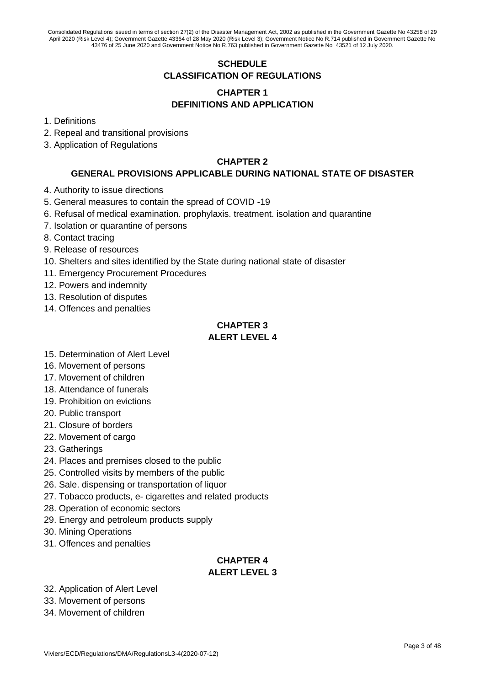## **SCHEDULE CLASSIFICATION OF REGULATIONS**

## **CHAPTER 1 DEFINITIONS AND APPLICATION**

- 1. Definitions
- 2. Repeal and transitional provisions
- 3. Application of Regulations

## **CHAPTER 2**

## **GENERAL PROVISIONS APPLICABLE DURING NATIONAL STATE OF DISASTER**

- 4. Authority to issue directions
- 5. General measures to contain the spread of COVID -19
- 6. Refusal of medical examination. prophylaxis. treatment. isolation and quarantine
- 7. Isolation or quarantine of persons
- 8. Contact tracing
- 9. Release of resources
- 10. Shelters and sites identified by the State during national state of disaster
- 11. Emergency Procurement Procedures
- 12. Powers and indemnity
- 13. Resolution of disputes
- 14. Offences and penalties

## **CHAPTER 3 ALERT LEVEL 4**

- 15. Determination of Alert Level
- 16. Movement of persons
- 17. Movement of children
- 18. Attendance of funerals
- 19. Prohibition on evictions
- 20. Public transport
- 21. Closure of borders
- 22. Movement of cargo
- 23. Gatherings
- 24. Places and premises closed to the public
- 25. Controlled visits by members of the public
- 26. Sale. dispensing or transportation of liquor
- 27. Tobacco products, e- cigarettes and related products
- 28. Operation of economic sectors
- 29. Energy and petroleum products supply
- 30. Mining Operations
- 31. Offences and penalties

## **CHAPTER 4 ALERT LEVEL 3**

- 32. Application of Alert Level
- 33. Movement of persons
- 34. Movement of children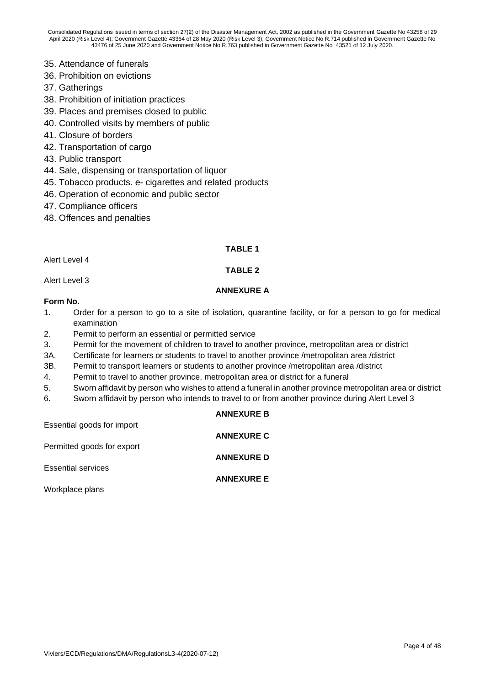- 35. Attendance of funerals
- 36. Prohibition on evictions
- 37. Gatherings
- 38. Prohibition of initiation practices
- 39. Places and premises closed to public
- 40. Controlled visits by members of public
- 41. Closure of borders
- 42. Transportation of cargo
- 43. Public transport
- 44. Sale, dispensing or transportation of liquor
- 45. Tobacco products. e- cigarettes and related products
- 46. Operation of economic and public sector
- 47. Compliance officers
- 48. Offences and penalties

#### **TABLE 1**

Alert Level 4

#### **TABLE 2**

Alert Level 3

#### **ANNEXURE A**

#### **Form No.**

- 1. Order for a person to go to a site of isolation, quarantine facility, or for a person to go for medical examination
- 2. Permit to perform an essential or permitted service
- 3. Permit for the movement of children to travel to another province, metropolitan area or district
- 3A. Certificate for learners or students to travel to another province /metropolitan area /district
- 3B. Permit to transport learners or students to another province /metropolitan area /district
- 4. Permit to travel to another province, metropolitan area or district for a funeral
- 5. Sworn affidavit by person who wishes to attend a funeral in another province metropolitan area or district
- 6. Sworn affidavit by person who intends to travel to or from another province during Alert Level 3

|                            | <b>ANNEXURE B</b> |
|----------------------------|-------------------|
| Essential goods for import |                   |
| Permitted goods for export | <b>ANNEXURE C</b> |
|                            | <b>ANNEXURE D</b> |
| <b>Essential services</b>  |                   |
| Workplace plans            | <b>ANNEXURE E</b> |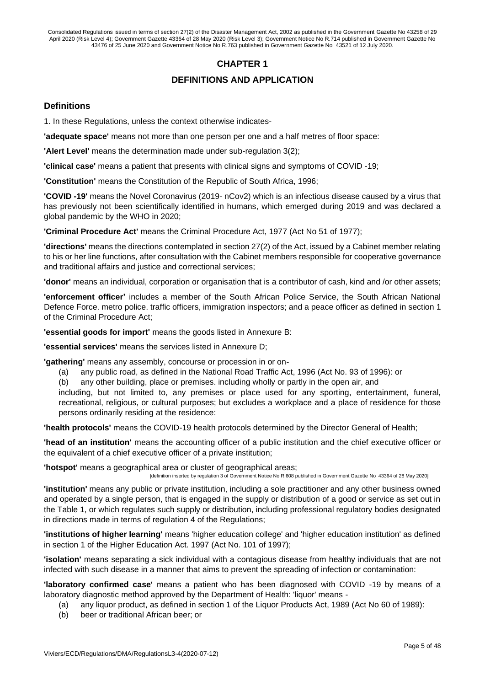## **CHAPTER 1**

## **DEFINITIONS AND APPLICATION**

#### **Definitions**

1. In these Regulations, unless the context otherwise indicates-

**'adequate space'** means not more than one person per one and a half metres of floor space:

**'Alert Level'** means the determination made under sub-regulation 3(2);

**'clinical case'** means a patient that presents with clinical signs and symptoms of COVID -19;

**'Constitution'** means the Constitution of the Republic of South Africa, 1996;

**'COVID -19'** means the Novel Coronavirus (2019- nCov2) which is an infectious disease caused by a virus that has previously not been scientifically identified in humans, which emerged during 2019 and was declared a global pandemic by the WHO in 2020;

**'Criminal Procedure Act'** means the Criminal Procedure Act, 1977 (Act No 51 of 1977);

**'directions'** means the directions contemplated in section 27(2) of the Act, issued by a Cabinet member relating to his or her line functions, after consultation with the Cabinet members responsible for cooperative governance and traditional affairs and justice and correctional services;

**'donor'** means an individual, corporation or organisation that is a contributor of cash, kind and /or other assets;

**'enforcement officer'** includes a member of the South African Police Service, the South African National Defence Force. metro police. traffic officers, immigration inspectors; and a peace officer as defined in section 1 of the Criminal Procedure Act;

**'essential goods for import'** means the goods listed in Annexure B:

**'essential services'** means the services listed in Annexure D;

**'gathering'** means any assembly, concourse or procession in or on-

- (a) any public road, as defined in the National Road Traffic Act, 1996 (Act No. 93 of 1996): or
- (b) any other building, place or premises. including wholly or partly in the open air, and

including, but not limited to, any premises or place used for any sporting, entertainment, funeral, recreational, religious, or cultural purposes; but excludes a workplace and a place of residence for those persons ordinarily residing at the residence:

**'health protocols'** means the COVID-19 health protocols determined by the Director General of Health;

**'head of an institution'** means the accounting officer of a public institution and the chief executive officer or the equivalent of a chief executive officer of a private institution;

**'hotspot'** means a geographical area or cluster of geographical areas;

[definition inserted by regulation 3 of Government Notice No R.608 published in Government Gazette No 43364 of 28 May 2020]

**'institution'** means any public or private institution, including a sole practitioner and any other business owned and operated by a single person, that is engaged in the supply or distribution of a good or service as set out in the Table 1, or which regulates such supply or distribution, including professional regulatory bodies designated in directions made in terms of regulation 4 of the Regulations;

**'institutions of higher learning'** means 'higher education college' and 'higher education institution' as defined in section 1 of the Higher Education Act. 1997 (Act No. 101 of 1997);

**'isolation'** means separating a sick individual with a contagious disease from healthy individuals that are not infected with such disease in a manner that aims to prevent the spreading of infection or contamination:

**'laboratory confirmed case'** means a patient who has been diagnosed with COVID -19 by means of a laboratory diagnostic method approved by the Department of Health: 'liquor' means -

- (a) any liquor product, as defined in section 1 of the Liquor Products Act, 1989 (Act No 60 of 1989):
- (b) beer or traditional African beer; or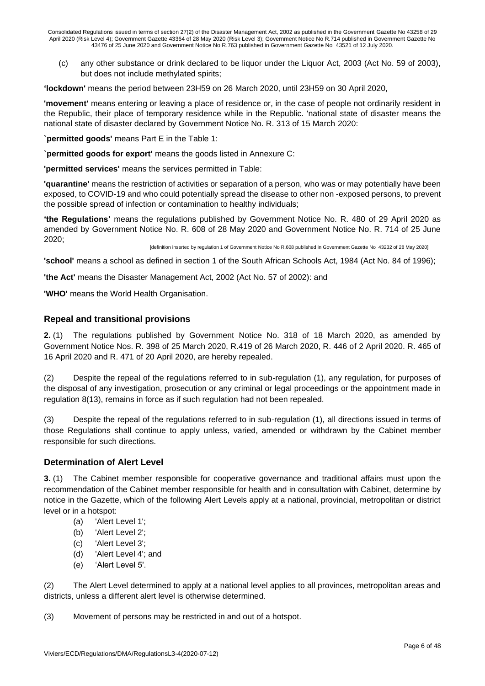(c) any other substance or drink declared to be liquor under the Liquor Act, 2003 (Act No. 59 of 2003), but does not include methylated spirits;

**'lockdown'** means the period between 23H59 on 26 March 2020, until 23H59 on 30 April 2020,

**'movement'** means entering or leaving a place of residence or, in the case of people not ordinarily resident in the Republic, their place of temporary residence while in the Republic. 'national state of disaster means the national state of disaster declared by Government Notice No. R. 313 of 15 March 2020:

**`permitted goods'** means Part E in the Table 1:

**`permitted goods for export'** means the goods listed in Annexure C:

**'permitted services'** means the services permitted in Table:

**'quarantine'** means the restriction of activities or separation of a person, who was or may potentially have been exposed, to COVID-19 and who could potentially spread the disease to other non -exposed persons, to prevent the possible spread of infection or contamination to healthy individuals;

**'the Regulations'** means the regulations published by Government Notice No. R. 480 of 29 April 2020 as amended by Government Notice No. R. 608 of 28 May 2020 and Government Notice No. R. 714 of 25 June 2020;

[definition inserted by regulation 1 of Government Notice No R.608 published in Government Gazette No 43232 of 28 May 2020]

**'school'** means a school as defined in section 1 of the South African Schools Act, 1984 (Act No. 84 of 1996);

**'the Act'** means the Disaster Management Act, 2002 (Act No. 57 of 2002): and

**'WHO'** means the World Health Organisation.

#### **Repeal and transitional provisions**

**2.** (1) The regulations published by Government Notice No. 318 of 18 March 2020, as amended by Government Notice Nos. R. 398 of 25 March 2020, R.419 of 26 March 2020, R. 446 of 2 April 2020. R. 465 of 16 April 2020 and R. 471 of 20 April 2020, are hereby repealed.

(2) Despite the repeal of the regulations referred to in sub-regulation (1), any regulation, for purposes of the disposal of any investigation, prosecution or any criminal or legal proceedings or the appointment made in regulation 8(13), remains in force as if such regulation had not been repealed.

(3) Despite the repeal of the regulations referred to in sub-regulation (1), all directions issued in terms of those Regulations shall continue to apply unless, varied, amended or withdrawn by the Cabinet member responsible for such directions.

#### **Determination of Alert Level**

**3.** (1) The Cabinet member responsible for cooperative governance and traditional affairs must upon the recommendation of the Cabinet member responsible for health and in consultation with Cabinet, determine by notice in the Gazette, which of the following Alert Levels apply at a national, provincial, metropolitan or district level or in a hotspot:

- (a) 'Alert Level 1';
- (b) 'Alert Level 2';
- (c) 'Alert Level 3';
- (d) 'Alert Level 4'; and
- (e) 'Alert Level 5'.

(2) The Alert Level determined to apply at a national level applies to all provinces, metropolitan areas and districts, unless a different alert level is otherwise determined.

(3) Movement of persons may be restricted in and out of a hotspot.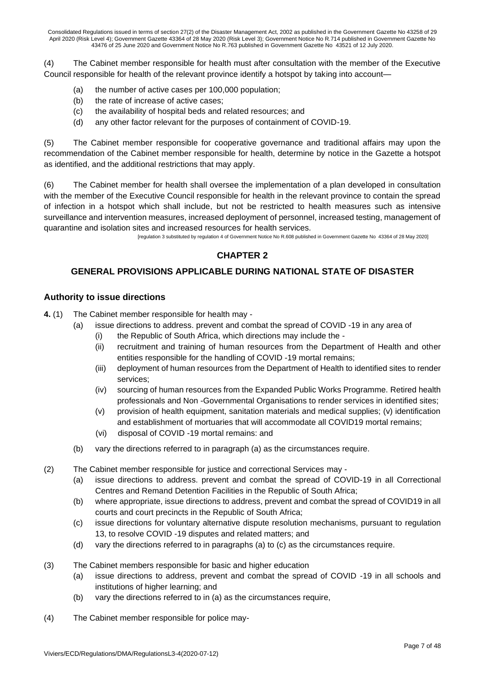(4) The Cabinet member responsible for health must after consultation with the member of the Executive Council responsible for health of the relevant province identify a hotspot by taking into account—

- (a) the number of active cases per 100,000 population;
- (b) the rate of increase of active cases;
- (c) the availability of hospital beds and related resources; and
- (d) any other factor relevant for the purposes of containment of COVID-19.

(5) The Cabinet member responsible for cooperative governance and traditional affairs may upon the recommendation of the Cabinet member responsible for health, determine by notice in the Gazette a hotspot as identified, and the additional restrictions that may apply.

(6) The Cabinet member for health shall oversee the implementation of a plan developed in consultation with the member of the Executive Council responsible for health in the relevant province to contain the spread of infection in a hotspot which shall include, but not be restricted to health measures such as intensive surveillance and intervention measures, increased deployment of personnel, increased testing, management of quarantine and isolation sites and increased resources for health services.

[regulation 3 substituted by regulation 4 of Government Notice No R.608 published in Government Gazette No 43364 of 28 May 2020]

## **CHAPTER 2**

## **GENERAL PROVISIONS APPLICABLE DURING NATIONAL STATE OF DISASTER**

#### **Authority to issue directions**

- **4.** (1) The Cabinet member responsible for health may
	- (a) issue directions to address. prevent and combat the spread of COVID -19 in any area of
		- (i) the Republic of South Africa, which directions may include the -
		- (ii) recruitment and training of human resources from the Department of Health and other entities responsible for the handling of COVID -19 mortal remains;
		- (iii) deployment of human resources from the Department of Health to identified sites to render services;
		- (iv) sourcing of human resources from the Expanded Public Works Programme. Retired health professionals and Non -Governmental Organisations to render services in identified sites;
		- (v) provision of health equipment, sanitation materials and medical supplies; (v) identification and establishment of mortuaries that will accommodate all COVID19 mortal remains;
		- (vi) disposal of COVID -19 mortal remains: and
	- (b) vary the directions referred to in paragraph (a) as the circumstances require.
- (2) The Cabinet member responsible for justice and correctional Services may
	- (a) issue directions to address. prevent and combat the spread of COVID-19 in all Correctional Centres and Remand Detention Facilities in the Republic of South Africa;
	- (b) where appropriate, issue directions to address, prevent and combat the spread of COVID19 in all courts and court precincts in the Republic of South Africa;
	- (c) issue directions for voluntary alternative dispute resolution mechanisms, pursuant to regulation 13, to resolve COVID -19 disputes and related matters; and
	- (d) vary the directions referred to in paragraphs (a) to (c) as the circumstances require.
- (3) The Cabinet members responsible for basic and higher education
	- (a) issue directions to address, prevent and combat the spread of COVID -19 in all schools and institutions of higher learning; and
	- (b) vary the directions referred to in (a) as the circumstances require,
- (4) The Cabinet member responsible for police may-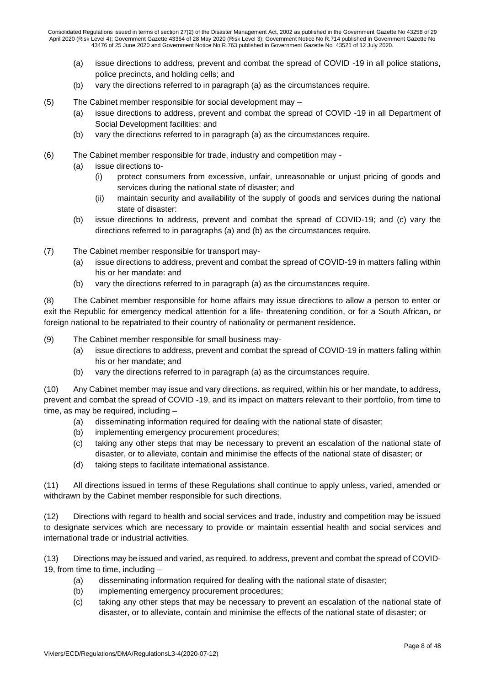- (a) issue directions to address, prevent and combat the spread of COVID -19 in all police stations, police precincts, and holding cells; and
- (b) vary the directions referred to in paragraph (a) as the circumstances require.
- (5) The Cabinet member responsible for social development may
	- (a) issue directions to address, prevent and combat the spread of COVID -19 in all Department of Social Development facilities: and
	- (b) vary the directions referred to in paragraph (a) as the circumstances require.
- (6) The Cabinet member responsible for trade, industry and competition may
	- (a) issue directions to-
		- (i) protect consumers from excessive, unfair, unreasonable or unjust pricing of goods and services during the national state of disaster; and
		- (ii) maintain security and availability of the supply of goods and services during the national state of disaster:
	- (b) issue directions to address, prevent and combat the spread of COVID-19; and (c) vary the directions referred to in paragraphs (a) and (b) as the circumstances require.
- (7) The Cabinet member responsible for transport may-
	- (a) issue directions to address, prevent and combat the spread of COVID-19 in matters falling within his or her mandate: and
	- (b) vary the directions referred to in paragraph (a) as the circumstances require.

(8) The Cabinet member responsible for home affairs may issue directions to allow a person to enter or exit the Republic for emergency medical attention for a life- threatening condition, or for a South African, or foreign national to be repatriated to their country of nationality or permanent residence.

(9) The Cabinet member responsible for small business may-

- (a) issue directions to address, prevent and combat the spread of COVID-19 in matters falling within his or her mandate; and
- (b) vary the directions referred to in paragraph (a) as the circumstances require.

(10) Any Cabinet member may issue and vary directions. as required, within his or her mandate, to address, prevent and combat the spread of COVID -19, and its impact on matters relevant to their portfolio, from time to time, as may be required, including –

- (a) disseminating information required for dealing with the national state of disaster;
- (b) implementing emergency procurement procedures;
- (c) taking any other steps that may be necessary to prevent an escalation of the national state of disaster, or to alleviate, contain and minimise the effects of the national state of disaster; or
- (d) taking steps to facilitate international assistance.

(11) All directions issued in terms of these Regulations shall continue to apply unless, varied, amended or withdrawn by the Cabinet member responsible for such directions.

(12) Directions with regard to health and social services and trade, industry and competition may be issued to designate services which are necessary to provide or maintain essential health and social services and international trade or industrial activities.

(13) Directions may be issued and varied, as required. to address, prevent and combat the spread of COVID-19, from time to time, including –

- (a) disseminating information required for dealing with the national state of disaster;
- (b) implementing emergency procurement procedures;
- (c) taking any other steps that may be necessary to prevent an escalation of the national state of disaster, or to alleviate, contain and minimise the effects of the national state of disaster; or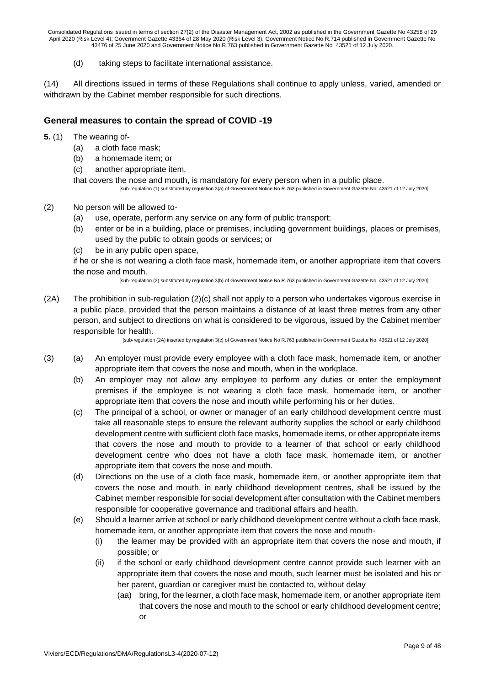(d) taking steps to facilitate international assistance.

(14) All directions issued in terms of these Regulations shall continue to apply unless, varied, amended or withdrawn by the Cabinet member responsible for such directions.

## **General measures to contain the spread of COVID -19**

- **5.** (1) The wearing of-
	- (a) a cloth face mask;
	- (b) a homemade item; or
	- (c) another appropriate item,

that covers the nose and mouth, is mandatory for every person when in a public place. [sub-regulation (1) substituted by regulation 3(a) of Government Notice No R.763 published in Government Gazette No 43521 of 12 July 2020]

- (2) No person will be allowed to-
	- (a) use, operate, perform any service on any form of public transport;
	- (b) enter or be in a building, place or premises, including government buildings, places or premises, used by the public to obtain goods or services; or
	- (c) be in any public open space,

if he or she is not wearing a cloth face mask, homemade item, or another appropriate item that covers the nose and mouth.

[sub-regulation (2) substituted by regulation 3(b) of Government Notice No R.763 published in Government Gazette No 43521 of 12 July 2020]

(2A) The prohibition in sub-regulation (2)(c) shall not apply to a person who undertakes vigorous exercise in a public place, provided that the person maintains a distance of at least three metres from any other person, and subject to directions on what is considered to be vigorous, issued by the Cabinet member responsible for health.

[sub-regulation (2A) inserted by regulation 3(c) of Government Notice No R.763 published in Government Gazette No 43521 of 12 July 2020]

- (3) (a) An employer must provide every employee with a cloth face mask, homemade item, or another appropriate item that covers the nose and mouth, when in the workplace.
	- (b) An employer may not allow any employee to perform any duties or enter the employment premises if the employee is not wearing a cloth face mask, homemade item, or another appropriate item that covers the nose and mouth while performing his or her duties.
	- (c) The principal of a school, or owner or manager of an early childhood development centre must take all reasonable steps to ensure the relevant authority supplies the school or early childhood development centre with sufficient cloth face masks, homemade items, or other appropriate items that covers the nose and mouth to provide to a learner of that school or early childhood development centre who does not have a cloth face mask, homemade item, or another appropriate item that covers the nose and mouth.
	- (d) Directions on the use of a cloth face mask, homemade item, or another appropriate item that covers the nose and mouth, in early childhood development centres, shall be issued by the Cabinet member responsible for social development after consultation with the Cabinet members responsible for cooperative governance and traditional affairs and health.
	- (e) Should a learner arrive at school or early childhood development centre without a cloth face mask, homemade item, or another appropriate item that covers the nose and mouth-
		- (i) the learner may be provided with an appropriate item that covers the nose and mouth, if possible; or
		- (ii) if the school or early childhood development centre cannot provide such learner with an appropriate item that covers the nose and mouth, such learner must be isolated and his or her parent, guardian or caregiver must be contacted to, without delay
			- (aa) bring, for the learner, a cloth face mask, homemade item, or another appropriate item that covers the nose and mouth to the school or early childhood development centre; or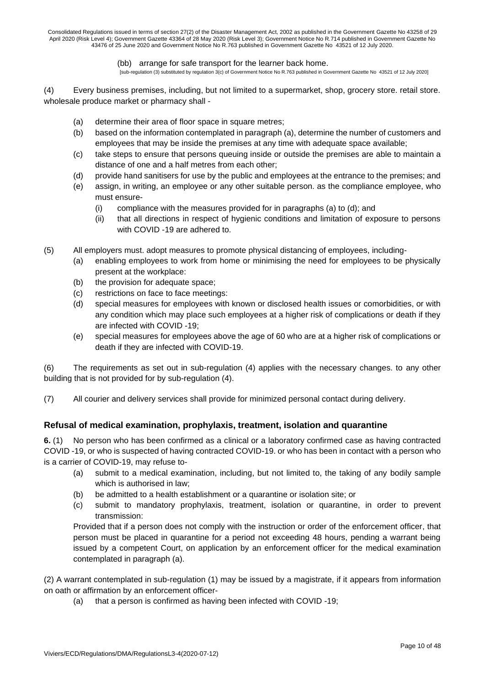#### (bb) arrange for safe transport for the learner back home.

[sub-regulation (3) substituted by regulation 3(c) of Government Notice No R.763 published in Government Gazette No 43521 of 12 July 2020]

(4) Every business premises, including, but not limited to a supermarket, shop, grocery store. retail store. wholesale produce market or pharmacy shall -

- (a) determine their area of floor space in square metres;
- (b) based on the information contemplated in paragraph (a), determine the number of customers and employees that may be inside the premises at any time with adequate space available;
- (c) take steps to ensure that persons queuing inside or outside the premises are able to maintain a distance of one and a half metres from each other;
- (d) provide hand sanitisers for use by the public and employees at the entrance to the premises; and
- (e) assign, in writing, an employee or any other suitable person. as the compliance employee, who must ensure-
	- (i) compliance with the measures provided for in paragraphs (a) to (d); and
	- (ii) that all directions in respect of hygienic conditions and limitation of exposure to persons with COVID -19 are adhered to.
- (5) All employers must. adopt measures to promote physical distancing of employees, including-
	- (a) enabling employees to work from home or minimising the need for employees to be physically present at the workplace:
	- (b) the provision for adequate space;
	- (c) restrictions on face to face meetings:
	- (d) special measures for employees with known or disclosed health issues or comorbidities, or with any condition which may place such employees at a higher risk of complications or death if they are infected with COVID -19;
	- (e) special measures for employees above the age of 60 who are at a higher risk of complications or death if they are infected with COVID-19.

(6) The requirements as set out in sub-regulation (4) applies with the necessary changes. to any other building that is not provided for by sub-regulation (4).

(7) All courier and delivery services shall provide for minimized personal contact during delivery.

#### **Refusal of medical examination, prophylaxis, treatment, isolation and quarantine**

**6.** (1) No person who has been confirmed as a clinical or a laboratory confirmed case as having contracted COVID -19, or who is suspected of having contracted COVID-19. or who has been in contact with a person who is a carrier of COVID-19, may refuse to-

- (a) submit to a medical examination, including, but not limited to, the taking of any bodily sample which is authorised in law;
- (b) be admitted to a health establishment or a quarantine or isolation site; or
- (c) submit to mandatory prophylaxis, treatment, isolation or quarantine, in order to prevent transmission:

Provided that if a person does not comply with the instruction or order of the enforcement officer, that person must be placed in quarantine for a period not exceeding 48 hours, pending a warrant being issued by a competent Court, on application by an enforcement officer for the medical examination contemplated in paragraph (a).

(2) A warrant contemplated in sub-regulation (1) may be issued by a magistrate, if it appears from information on oath or affirmation by an enforcement officer-

(a) that a person is confirmed as having been infected with COVID -19;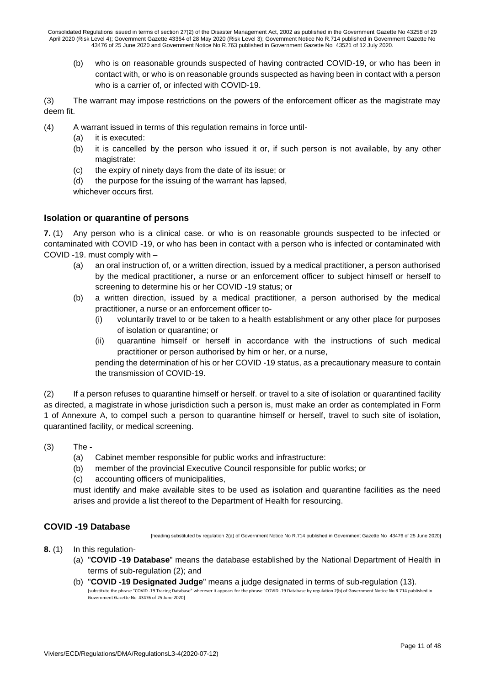(b) who is on reasonable grounds suspected of having contracted COVID-19, or who has been in contact with, or who is on reasonable grounds suspected as having been in contact with a person who is a carrier of, or infected with COVID-19.

(3) The warrant may impose restrictions on the powers of the enforcement officer as the magistrate may deem fit.

- (4) A warrant issued in terms of this regulation remains in force until-
	- (a) it is executed:
	- (b) it is cancelled by the person who issued it or, if such person is not available, by any other magistrate:
	- (c) the expiry of ninety days from the date of its issue; or
	- (d) the purpose for the issuing of the warrant has lapsed,

whichever occurs first.

#### **Isolation or quarantine of persons**

**7.** (1) Any person who is a clinical case. or who is on reasonable grounds suspected to be infected or contaminated with COVID -19, or who has been in contact with a person who is infected or contaminated with COVID -19. must comply with –

- (a) an oral instruction of, or a written direction, issued by a medical practitioner, a person authorised by the medical practitioner, a nurse or an enforcement officer to subject himself or herself to screening to determine his or her COVID -19 status; or
- (b) a written direction, issued by a medical practitioner, a person authorised by the medical practitioner, a nurse or an enforcement officer to-
	- (i) voluntarily travel to or be taken to a health establishment or any other place for purposes of isolation or quarantine; or
	- (ii) quarantine himself or herself in accordance with the instructions of such medical practitioner or person authorised by him or her, or a nurse,

pending the determination of his or her COVID -19 status, as a precautionary measure to contain the transmission of COVID-19.

(2) If a person refuses to quarantine himself or herself. or travel to a site of isolation or quarantined facility as directed, a magistrate in whose jurisdiction such a person is, must make an order as contemplated in Form 1 of Annexure A, to compel such a person to quarantine himself or herself, travel to such site of isolation, quarantined facility, or medical screening.

- (3) The
	- (a) Cabinet member responsible for public works and infrastructure:
	- (b) member of the provincial Executive Council responsible for public works; or
	- (c) accounting officers of municipalities,

must identify and make available sites to be used as isolation and quarantine facilities as the need arises and provide a list thereof to the Department of Health for resourcing.

## **COVID -19 Database**

[heading substituted by regulation 2(a) of Government Notice No R.714 published in Government Gazette No 43476 of 25 June 2020]

- **8.** (1) In this regulation-
	- (a) "**COVID -19 Database**" means the database established by the National Department of Health in terms of sub-regulation (2); and
	- (b) "**COVID -19 Designated Judge**" means a judge designated in terms of sub-regulation (13). [substitute the phrase "COVID -19 Tracing Database" wherever it appears for the phrase "COVID -19 Database by regulation 2(b) of Government Notice No R.714 published in Government Gazette No 43476 of 25 June 2020]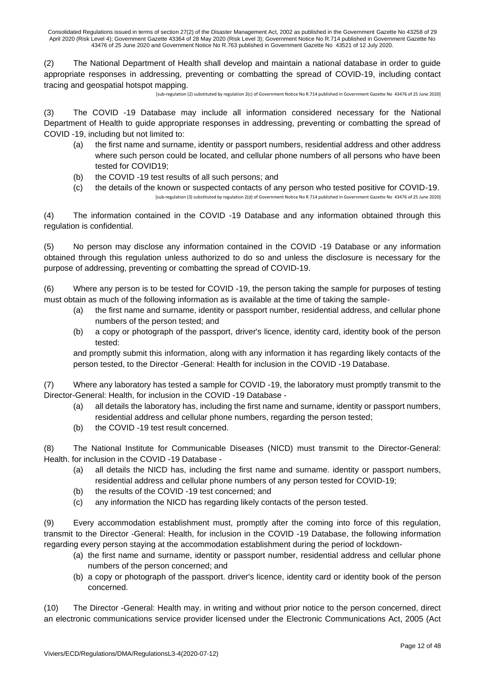(2) The National Department of Health shall develop and maintain a national database in order to guide appropriate responses in addressing, preventing or combatting the spread of COVID-19, including contact tracing and geospatial hotspot mapping.

[sub-regulation (2) substituted by regulation 2(c) of Government Notice No R.714 published in Government Gazette No 43476 of 25 June 2020]

(3) The COVID -19 Database may include all information considered necessary for the National Department of Health to guide appropriate responses in addressing, preventing or combatting the spread of COVID -19, including but not limited to:

- (a) the first name and surname, identity or passport numbers, residential address and other address where such person could be located, and cellular phone numbers of all persons who have been tested for COVID19;
- (b) the COVID -19 test results of all such persons; and
- (c) the details of the known or suspected contacts of any person who tested positive for COVID-19. [sub-regulation (3) substituted by regulation 2(d) of Government Notice No R.714 published in Government Gazette No 43476 of 25 June 2020]

(4) The information contained in the COVID -19 Database and any information obtained through this regulation is confidential.

(5) No person may disclose any information contained in the COVID -19 Database or any information obtained through this regulation unless authorized to do so and unless the disclosure is necessary for the purpose of addressing, preventing or combatting the spread of COVID-19.

(6) Where any person is to be tested for COVID -19, the person taking the sample for purposes of testing must obtain as much of the following information as is available at the time of taking the sample-

- (a) the first name and surname, identity or passport number, residential address, and cellular phone numbers of the person tested; and
- (b) a copy or photograph of the passport, driver's licence, identity card, identity book of the person tested:

and promptly submit this information, along with any information it has regarding likely contacts of the person tested, to the Director -General: Health for inclusion in the COVID -19 Database.

(7) Where any laboratory has tested a sample for COVID -19, the laboratory must promptly transmit to the Director-General: Health, for inclusion in the COVID -19 Database -

- (a) all details the laboratory has, including the first name and surname, identity or passport numbers, residential address and cellular phone numbers, regarding the person tested;
- (b) the COVID -19 test result concerned.

(8) The National Institute for Communicable Diseases (NICD) must transmit to the Director-General: Health. for inclusion in the COVID -19 Database -

- (a) all details the NICD has, including the first name and surname. identity or passport numbers, residential address and cellular phone numbers of any person tested for COVID-19;
- (b) the results of the COVID -19 test concerned; and
- (c) any information the NICD has regarding likely contacts of the person tested.

(9) Every accommodation establishment must, promptly after the coming into force of this regulation, transmit to the Director -General: Health, for inclusion in the COVID -19 Database, the following information regarding every person staying at the accommodation establishment during the period of lockdown-

- (a) the first name and surname, identity or passport number, residential address and cellular phone numbers of the person concerned; and
- (b) a copy or photograph of the passport. driver's licence, identity card or identity book of the person concerned.

(10) The Director -General: Health may. in writing and without prior notice to the person concerned, direct an electronic communications service provider licensed under the Electronic Communications Act, 2005 (Act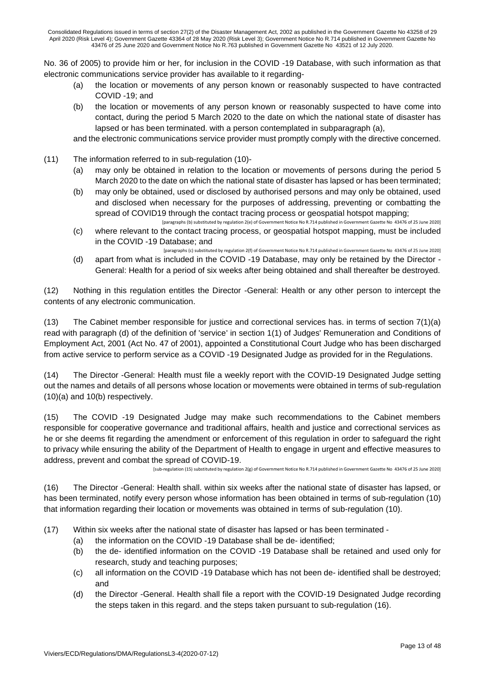No. 36 of 2005) to provide him or her, for inclusion in the COVID -19 Database, with such information as that electronic communications service provider has available to it regarding-

- (a) the location or movements of any person known or reasonably suspected to have contracted COVID -19; and
- (b) the location or movements of any person known or reasonably suspected to have come into contact, during the period 5 March 2020 to the date on which the national state of disaster has lapsed or has been terminated. with a person contemplated in subparagraph (a),

and the electronic communications service provider must promptly comply with the directive concerned.

- (11) The information referred to in sub-regulation (10)-
	- (a) may only be obtained in relation to the location or movements of persons during the period 5 March 2020 to the date on which the national state of disaster has lapsed or has been terminated;
	- (b) may only be obtained, used or disclosed by authorised persons and may only be obtained, used and disclosed when necessary for the purposes of addressing, preventing or combatting the spread of COVID19 through the contact tracing process or geospatial hotspot mapping; [paragraphs (b) substituted by regulation 2(e) of Government Notice No R.714 published in Government Gazette No 43476 of 25 June 2020]
	- (c) where relevant to the contact tracing process, or geospatial hotspot mapping, must be included in the COVID -19 Database; and
	- [paragraphs (c) substituted by regulation 2(f) of Government Notice No R.714 published in Government Gazette No 43476 of 25 June 2020] (d) apart from what is included in the COVID -19 Database, may only be retained by the Director - General: Health for a period of six weeks after being obtained and shall thereafter be destroyed.

(12) Nothing in this regulation entitles the Director -General: Health or any other person to intercept the contents of any electronic communication.

(13) The Cabinet member responsible for justice and correctional services has. in terms of section 7(1)(a) read with paragraph (d) of the definition of 'service' in section 1(1) of Judges' Remuneration and Conditions of Employment Act, 2001 (Act No. 47 of 2001), appointed a Constitutional Court Judge who has been discharged from active service to perform service as a COVID -19 Designated Judge as provided for in the Regulations.

(14) The Director -General: Health must file a weekly report with the COVID-19 Designated Judge setting out the names and details of all persons whose location or movements were obtained in terms of sub-regulation (10)(a) and 10(b) respectively.

(15) The COVID -19 Designated Judge may make such recommendations to the Cabinet members responsible for cooperative governance and traditional affairs, health and justice and correctional services as he or she deems fit regarding the amendment or enforcement of this regulation in order to safeguard the right to privacy while ensuring the ability of the Department of Health to engage in urgent and effective measures to address, prevent and combat the spread of COVID-19.

[sub-regulation (15) substituted by regulation 2(g) of Government Notice No R.714 published in Government Gazette No 43476 of 25 June 2020]

(16) The Director -General: Health shall. within six weeks after the national state of disaster has lapsed, or has been terminated, notify every person whose information has been obtained in terms of sub-regulation (10) that information regarding their location or movements was obtained in terms of sub-regulation (10).

(17) Within six weeks after the national state of disaster has lapsed or has been terminated -

- (a) the information on the COVID -19 Database shall be de- identified;
- (b) the de- identified information on the COVID -19 Database shall be retained and used only for research, study and teaching purposes;
- (c) all information on the COVID -19 Database which has not been de- identified shall be destroyed; and
- (d) the Director -General. Health shall file a report with the COVID-19 Designated Judge recording the steps taken in this regard. and the steps taken pursuant to sub-regulation (16).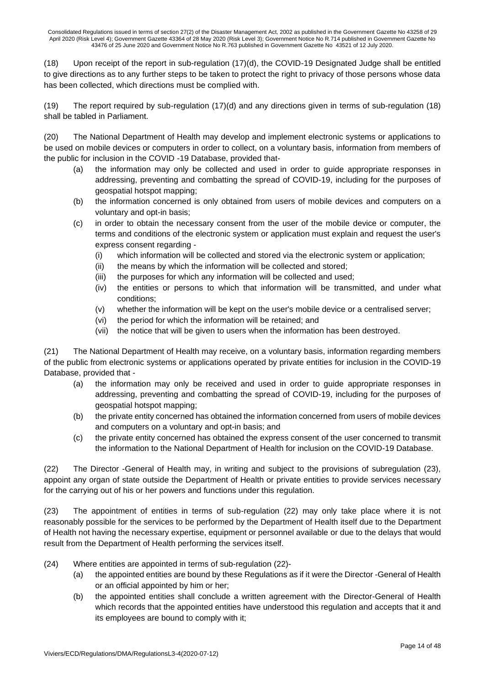(18) Upon receipt of the report in sub-regulation (17)(d), the COVID-19 Designated Judge shall be entitled to give directions as to any further steps to be taken to protect the right to privacy of those persons whose data has been collected, which directions must be complied with.

(19) The report required by sub-regulation (17)(d) and any directions given in terms of sub-regulation (18) shall be tabled in Parliament.

(20) The National Department of Health may develop and implement electronic systems or applications to be used on mobile devices or computers in order to collect, on a voluntary basis, information from members of the public for inclusion in the COVID -19 Database, provided that-

- (a) the information may only be collected and used in order to guide appropriate responses in addressing, preventing and combatting the spread of COVID-19, including for the purposes of geospatial hotspot mapping;
- (b) the information concerned is only obtained from users of mobile devices and computers on a voluntary and opt-in basis;
- (c) in order to obtain the necessary consent from the user of the mobile device or computer, the terms and conditions of the electronic system or application must explain and request the user's express consent regarding -
	- (i) which information will be collected and stored via the electronic system or application;
	- (ii) the means by which the information will be collected and stored;
	- (iii) the purposes for which any information will be collected and used;
	- (iv) the entities or persons to which that information will be transmitted, and under what conditions;
	- (v) whether the information will be kept on the user's mobile device or a centralised server;
	- (vi) the period for which the information will be retained; and
	- (vii) the notice that will be given to users when the information has been destroyed.

(21) The National Department of Health may receive, on a voluntary basis, information regarding members of the public from electronic systems or applications operated by private entities for inclusion in the COVID-19 Database, provided that -

- (a) the information may only be received and used in order to guide appropriate responses in addressing, preventing and combatting the spread of COVID-19, including for the purposes of geospatial hotspot mapping;
- (b) the private entity concerned has obtained the information concerned from users of mobile devices and computers on a voluntary and opt-in basis; and
- (c) the private entity concerned has obtained the express consent of the user concerned to transmit the information to the National Department of Health for inclusion on the COVID-19 Database.

(22) The Director -General of Health may, in writing and subject to the provisions of subregulation (23), appoint any organ of state outside the Department of Health or private entities to provide services necessary for the carrying out of his or her powers and functions under this regulation.

(23) The appointment of entities in terms of sub-regulation (22) may only take place where it is not reasonably possible for the services to be performed by the Department of Health itself due to the Department of Health not having the necessary expertise, equipment or personnel available or due to the delays that would result from the Department of Health performing the services itself.

- (24) Where entities are appointed in terms of sub-regulation (22)-
	- (a) the appointed entities are bound by these Regulations as if it were the Director -General of Health or an official appointed by him or her;
	- (b) the appointed entities shall conclude a written agreement with the Director-General of Health which records that the appointed entities have understood this regulation and accepts that it and its employees are bound to comply with it;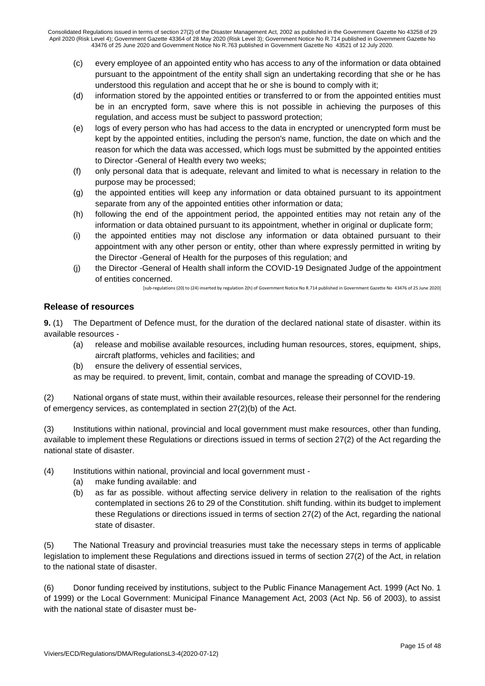- (c) every employee of an appointed entity who has access to any of the information or data obtained pursuant to the appointment of the entity shall sign an undertaking recording that she or he has understood this regulation and accept that he or she is bound to comply with it;
- (d) information stored by the appointed entities or transferred to or from the appointed entities must be in an encrypted form, save where this is not possible in achieving the purposes of this regulation, and access must be subject to password protection;
- (e) logs of every person who has had access to the data in encrypted or unencrypted form must be kept by the appointed entities, including the person's name, function, the date on which and the reason for which the data was accessed, which logs must be submitted by the appointed entities to Director -General of Health every two weeks;
- (f) only personal data that is adequate, relevant and limited to what is necessary in relation to the purpose may be processed;
- (g) the appointed entities will keep any information or data obtained pursuant to its appointment separate from any of the appointed entities other information or data;
- (h) following the end of the appointment period, the appointed entities may not retain any of the information or data obtained pursuant to its appointment, whether in original or duplicate form;
- (i) the appointed entities may not disclose any information or data obtained pursuant to their appointment with any other person or entity, other than where expressly permitted in writing by the Director -General of Health for the purposes of this regulation; and
- (j) the Director -General of Health shall inform the COVID-19 Designated Judge of the appointment of entities concerned.

[sub-regulations (20) to (24) inserted by regulation 2(h) of Government Notice No R.714 published in Government Gazette No 43476 of 25 June 2020]

## **Release of resources**

**9.** (1) The Department of Defence must, for the duration of the declared national state of disaster. within its available resources -

- (a) release and mobilise available resources, including human resources, stores, equipment, ships, aircraft platforms, vehicles and facilities; and
- (b) ensure the delivery of essential services,

as may be required. to prevent, limit, contain, combat and manage the spreading of COVID-19.

(2) National organs of state must, within their available resources, release their personnel for the rendering of emergency services, as contemplated in section 27(2)(b) of the Act.

(3) Institutions within national, provincial and local government must make resources, other than funding, available to implement these Regulations or directions issued in terms of section 27(2) of the Act regarding the national state of disaster.

- (4) Institutions within national, provincial and local government must
	- (a) make funding available: and
	- (b) as far as possible. without affecting service delivery in relation to the realisation of the rights contemplated in sections 26 to 29 of the Constitution. shift funding. within its budget to implement these Regulations or directions issued in terms of section 27(2) of the Act, regarding the national state of disaster.

(5) The National Treasury and provincial treasuries must take the necessary steps in terms of applicable legislation to implement these Regulations and directions issued in terms of section 27(2) of the Act, in relation to the national state of disaster.

(6) Donor funding received by institutions, subject to the Public Finance Management Act. 1999 (Act No. 1 of 1999) or the Local Government: Municipal Finance Management Act, 2003 (Act Np. 56 of 2003), to assist with the national state of disaster must be-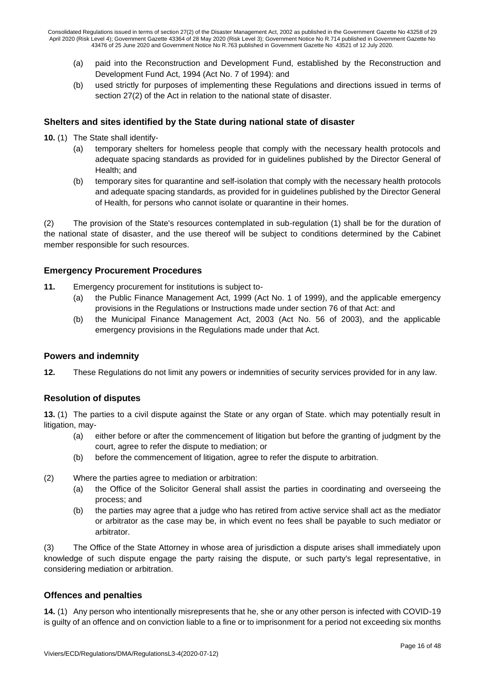- (a) paid into the Reconstruction and Development Fund, established by the Reconstruction and Development Fund Act, 1994 (Act No. 7 of 1994): and
- (b) used strictly for purposes of implementing these Regulations and directions issued in terms of section 27(2) of the Act in relation to the national state of disaster.

## **Shelters and sites identified by the State during national state of disaster**

- **10.** (1) The State shall identify-
	- (a) temporary shelters for homeless people that comply with the necessary health protocols and adequate spacing standards as provided for in guidelines published by the Director General of Health; and
	- (b) temporary sites for quarantine and self-isolation that comply with the necessary health protocols and adequate spacing standards, as provided for in guidelines published by the Director General of Health, for persons who cannot isolate or quarantine in their homes.

(2) The provision of the State's resources contemplated in sub-regulation (1) shall be for the duration of the national state of disaster, and the use thereof will be subject to conditions determined by the Cabinet member responsible for such resources.

## **Emergency Procurement Procedures**

- **11.** Emergency procurement for institutions is subject to-
	- (a) the Public Finance Management Act, 1999 (Act No. 1 of 1999), and the applicable emergency provisions in the Regulations or Instructions made under section 76 of that Act: and
	- (b) the Municipal Finance Management Act, 2003 (Act No. 56 of 2003), and the applicable emergency provisions in the Regulations made under that Act.

#### **Powers and indemnity**

**12.** These Regulations do not limit any powers or indemnities of security services provided for in any law.

#### **Resolution of disputes**

**13.** (1) The parties to a civil dispute against the State or any organ of State. which may potentially result in litigation, may-

- (a) either before or after the commencement of litigation but before the granting of judgment by the court, agree to refer the dispute to mediation; or
- (b) before the commencement of litigation, agree to refer the dispute to arbitration.
- (2) Where the parties agree to mediation or arbitration:
	- (a) the Office of the Solicitor General shall assist the parties in coordinating and overseeing the process; and
	- (b) the parties may agree that a judge who has retired from active service shall act as the mediator or arbitrator as the case may be, in which event no fees shall be payable to such mediator or arbitrator.

(3) The Office of the State Attorney in whose area of jurisdiction a dispute arises shall immediately upon knowledge of such dispute engage the party raising the dispute, or such party's legal representative, in considering mediation or arbitration.

#### **Offences and penalties**

**14.** (1) Any person who intentionally misrepresents that he, she or any other person is infected with COVID-19 is guilty of an offence and on conviction liable to a fine or to imprisonment for a period not exceeding six months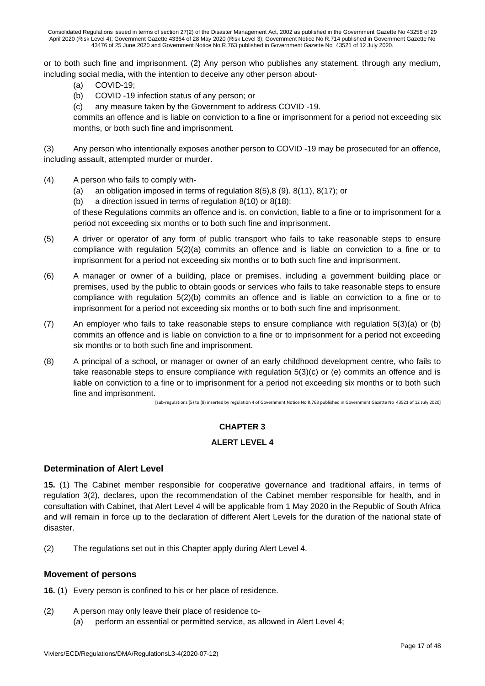or to both such fine and imprisonment. (2) Any person who publishes any statement. through any medium, including social media, with the intention to deceive any other person about-

- (a) COVID-19;
- (b) COVID -19 infection status of any person; or
- (c) any measure taken by the Government to address COVID -19.

commits an offence and is liable on conviction to a fine or imprisonment for a period not exceeding six months, or both such fine and imprisonment.

(3) Any person who intentionally exposes another person to COVID -19 may be prosecuted for an offence, including assault, attempted murder or murder.

- (4) A person who fails to comply with-
	- (a) an obligation imposed in terms of regulation 8(5),8 (9). 8(11), 8(17); or
	- (b) a direction issued in terms of regulation 8(10) or 8(18):

of these Regulations commits an offence and is. on conviction, liable to a fine or to imprisonment for a period not exceeding six months or to both such fine and imprisonment.

- (5) A driver or operator of any form of public transport who fails to take reasonable steps to ensure compliance with regulation 5(2)(a) commits an offence and is liable on conviction to a fine or to imprisonment for a period not exceeding six months or to both such fine and imprisonment.
- (6) A manager or owner of a building, place or premises, including a government building place or premises, used by the public to obtain goods or services who fails to take reasonable steps to ensure compliance with regulation 5(2)(b) commits an offence and is liable on conviction to a fine or to imprisonment for a period not exceeding six months or to both such fine and imprisonment.
- (7) An employer who fails to take reasonable steps to ensure compliance with regulation 5(3)(a) or (b) commits an offence and is liable on conviction to a fine or to imprisonment for a period not exceeding six months or to both such fine and imprisonment.
- (8) A principal of a school, or manager or owner of an early childhood development centre, who fails to take reasonable steps to ensure compliance with regulation  $5(3)(c)$  or (e) commits an offence and is liable on conviction to a fine or to imprisonment for a period not exceeding six months or to both such fine and imprisonment.

[sub-regulations (5) to (8) inserted by regulation 4 of Government Notice No R.763 published in Government Gazette No 43521 of 12 July 2020]

#### **CHAPTER 3**

#### **ALERT LEVEL 4**

#### **Determination of Alert Level**

**15.** (1) The Cabinet member responsible for cooperative governance and traditional affairs, in terms of regulation 3(2), declares, upon the recommendation of the Cabinet member responsible for health, and in consultation with Cabinet, that Alert Level 4 will be applicable from 1 May 2020 in the Republic of South Africa and will remain in force up to the declaration of different Alert Levels for the duration of the national state of disaster.

(2) The regulations set out in this Chapter apply during Alert Level 4.

#### **Movement of persons**

**16.** (1) Every person is confined to his or her place of residence.

- (2) A person may only leave their place of residence to-
	- (a) perform an essential or permitted service, as allowed in Alert Level 4;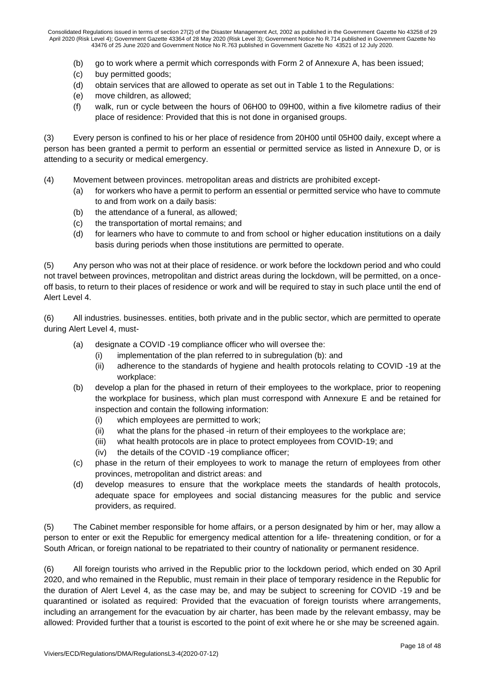- (b) go to work where a permit which corresponds with Form 2 of Annexure A, has been issued;
- (c) buy permitted goods;
- (d) obtain services that are allowed to operate as set out in Table 1 to the Regulations:
- (e) move children, as allowed;
- (f) walk, run or cycle between the hours of 06H00 to 09H00, within a five kilometre radius of their place of residence: Provided that this is not done in organised groups.

(3) Every person is confined to his or her place of residence from 20H00 until 05H00 daily, except where a person has been granted a permit to perform an essential or permitted service as listed in Annexure D, or is attending to a security or medical emergency.

- (4) Movement between provinces. metropolitan areas and districts are prohibited except-
	- (a) for workers who have a permit to perform an essential or permitted service who have to commute to and from work on a daily basis:
	- (b) the attendance of a funeral, as allowed;
	- (c) the transportation of mortal remains; and
	- (d) for learners who have to commute to and from school or higher education institutions on a daily basis during periods when those institutions are permitted to operate.

(5) Any person who was not at their place of residence. or work before the lockdown period and who could not travel between provinces, metropolitan and district areas during the lockdown, will be permitted, on a onceoff basis, to return to their places of residence or work and will be required to stay in such place until the end of Alert Level 4.

(6) All industries. businesses. entities, both private and in the public sector, which are permitted to operate during Alert Level 4, must-

- (a) designate a COVID -19 compliance officer who will oversee the:
	- (i) implementation of the plan referred to in subregulation (b): and
	- (ii) adherence to the standards of hygiene and health protocols relating to COVID -19 at the workplace:
- (b) develop a plan for the phased in return of their employees to the workplace, prior to reopening the workplace for business, which plan must correspond with Annexure E and be retained for inspection and contain the following information:
	- (i) which employees are permitted to work;
	- (ii) what the plans for the phased -in return of their employees to the workplace are;
	- (iii) what health protocols are in place to protect employees from COVID-19; and
	- (iv) the details of the COVID -19 compliance officer;
- (c) phase in the return of their employees to work to manage the return of employees from other provinces, metropolitan and district areas: and
- (d) develop measures to ensure that the workplace meets the standards of health protocols, adequate space for employees and social distancing measures for the public and service providers, as required.

(5) The Cabinet member responsible for home affairs, or a person designated by him or her, may allow a person to enter or exit the Republic for emergency medical attention for a life- threatening condition, or for a South African, or foreign national to be repatriated to their country of nationality or permanent residence.

(6) All foreign tourists who arrived in the Republic prior to the lockdown period, which ended on 30 April 2020, and who remained in the Republic, must remain in their place of temporary residence in the Republic for the duration of Alert Level 4, as the case may be, and may be subject to screening for COVID -19 and be quarantined or isolated as required: Provided that the evacuation of foreign tourists where arrangements, including an arrangement for the evacuation by air charter, has been made by the relevant embassy, may be allowed: Provided further that a tourist is escorted to the point of exit where he or she may be screened again.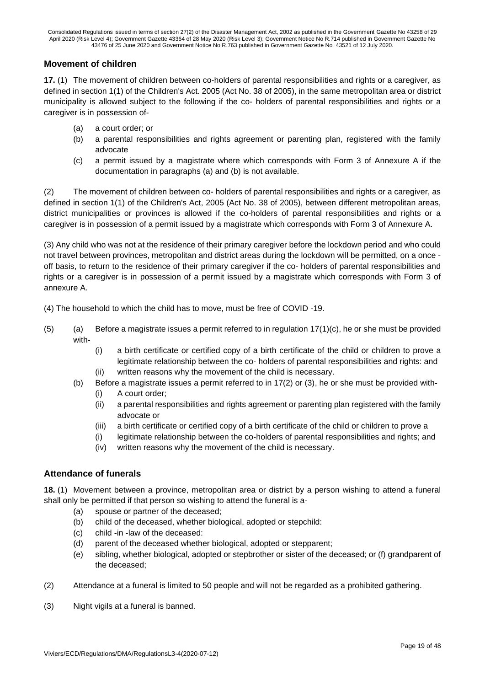## **Movement of children**

**17.** (1) The movement of children between co-holders of parental responsibilities and rights or a caregiver, as defined in section 1(1) of the Children's Act. 2005 (Act No. 38 of 2005), in the same metropolitan area or district municipality is allowed subject to the following if the co- holders of parental responsibilities and rights or a caregiver is in possession of-

- (a) a court order; or
- (b) a parental responsibilities and rights agreement or parenting plan, registered with the family advocate
- (c) a permit issued by a magistrate where which corresponds with Form 3 of Annexure A if the documentation in paragraphs (a) and (b) is not available.

(2) The movement of children between co- holders of parental responsibilities and rights or a caregiver, as defined in section 1(1) of the Children's Act, 2005 (Act No. 38 of 2005), between different metropolitan areas, district municipalities or provinces is allowed if the co-holders of parental responsibilities and rights or a caregiver is in possession of a permit issued by a magistrate which corresponds with Form 3 of Annexure A.

(3) Any child who was not at the residence of their primary caregiver before the lockdown period and who could not travel between provinces, metropolitan and district areas during the lockdown will be permitted, on a once off basis, to return to the residence of their primary caregiver if the co- holders of parental responsibilities and rights or a caregiver is in possession of a permit issued by a magistrate which corresponds with Form 3 of annexure A.

(4) The household to which the child has to move, must be free of COVID -19.

- $(5)$  (a) Before a magistrate issues a permit referred to in regulation  $17(1)(c)$ , he or she must be provided with-
	- (i) a birth certificate or certified copy of a birth certificate of the child or children to prove a legitimate relationship between the co- holders of parental responsibilities and rights: and (ii) written reasons why the movement of the child is necessary.
	- (b) Before a magistrate issues a permit referred to in 17(2) or (3), he or she must be provided with-
		- (i) A court order;
		- (ii) a parental responsibilities and rights agreement or parenting plan registered with the family advocate or
		- (iii) a birth certificate or certified copy of a birth certificate of the child or children to prove a
		- (i) legitimate relationship between the co-holders of parental responsibilities and rights; and
		- (iv) written reasons why the movement of the child is necessary.

#### **Attendance of funerals**

**18.** (1) Movement between a province, metropolitan area or district by a person wishing to attend a funeral shall only be permitted if that person so wishing to attend the funeral is a-

- (a) spouse or partner of the deceased;
- (b) child of the deceased, whether biological, adopted or stepchild:
- (c) child -in -law of the deceased:
- (d) parent of the deceased whether biological, adopted or stepparent;
- (e) sibling, whether biological, adopted or stepbrother or sister of the deceased; or (f) grandparent of the deceased;
- (2) Attendance at a funeral is limited to 50 people and will not be regarded as a prohibited gathering.
- (3) Night vigils at a funeral is banned.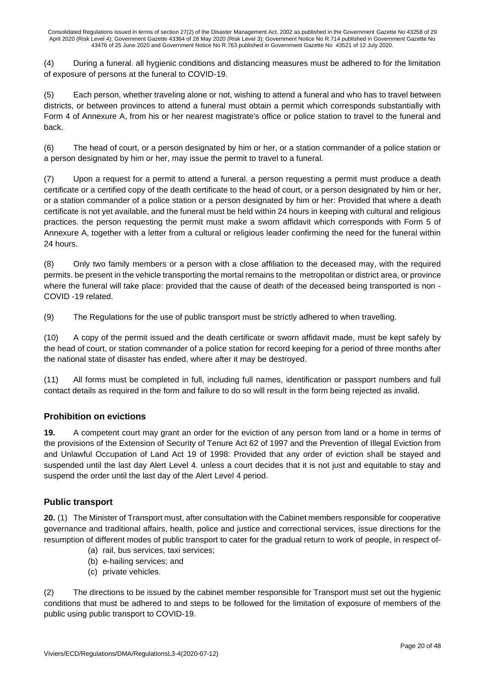(4) During a funeral. all hygienic conditions and distancing measures must be adhered to for the limitation of exposure of persons at the funeral to COVID-19.

(5) Each person, whether traveling alone or not, wishing to attend a funeral and who has to travel between districts, or between provinces to attend a funeral must obtain a permit which corresponds substantially with Form 4 of Annexure A, from his or her nearest magistrate's office or police station to travel to the funeral and back.

(6) The head of court, or a person designated by him or her, or a station commander of a police station or a person designated by him or her, may issue the permit to travel to a funeral.

(7) Upon a request for a permit to attend a funeral. a person requesting a permit must produce a death certificate or a certified copy of the death certificate to the head of court, or a person designated by him or her, or a station commander of a police station or a person designated by him or her: Provided that where a death certificate is not yet available, and the funeral must be held within 24 hours in keeping with cultural and religious practices. the person requesting the permit must make a sworn affidavit which corresponds with Form 5 of Annexure A, together with a letter from a cultural or religious leader confirming the need for the funeral within 24 hours.

(8) Only two family members or a person with a close affiliation to the deceased may, with the required permits. be present in the vehicle transporting the mortal remains to the metropolitan or district area, or province where the funeral will take place: provided that the cause of death of the deceased being transported is non -COVID -19 related.

(9) The Regulations for the use of public transport must be strictly adhered to when travelling.

(10) A copy of the permit issued and the death certificate or sworn affidavit made, must be kept safely by the head of court, or station commander of a police station for record keeping for a period of three months after the national state of disaster has ended, where after it may be destroyed.

(11) All forms must be completed in full, including full names, identification or passport numbers and full contact details as required in the form and failure to do so will result in the form being rejected as invalid.

## **Prohibition on evictions**

**19.** A competent court may grant an order for the eviction of any person from land or a home in terms of the provisions of the Extension of Security of Tenure Act 62 of 1997 and the Prevention of Illegal Eviction from and Unlawful Occupation of Land Act 19 of 1998: Provided that any order of eviction shall be stayed and suspended until the last day Alert Level 4. unless a court decides that it is not just and equitable to stay and suspend the order until the last day of the Alert Level 4 period.

## **Public transport**

**20.** (1) The Minister of Transport must, after consultation with the Cabinet members responsible for cooperative governance and traditional affairs, health, police and justice and correctional services, issue directions for the resumption of different modes of public transport to cater for the gradual return to work of people, in respect of-

- (a) rail, bus services, taxi services;
- (b) e-hailing services; and
- (c) private vehicles.

(2) The directions to be issued by the cabinet member responsible for Transport must set out the hygienic conditions that must be adhered to and steps to be followed for the limitation of exposure of members of the public using public transport to COVID-19.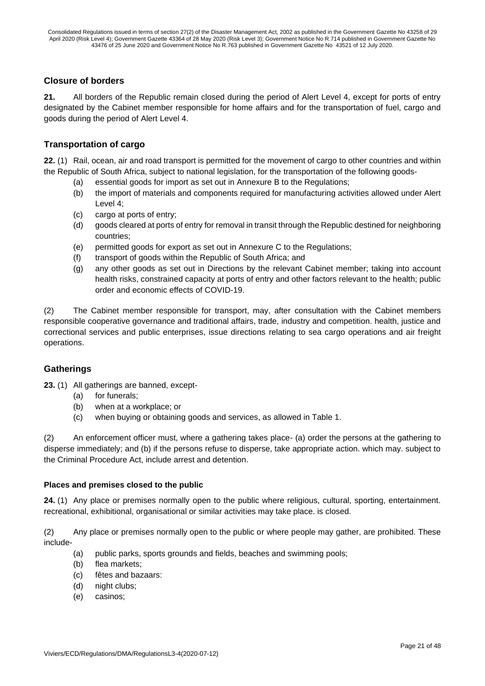## **Closure of borders**

**21.** All borders of the Republic remain closed during the period of Alert Level 4, except for ports of entry designated by the Cabinet member responsible for home affairs and for the transportation of fuel, cargo and goods during the period of Alert Level 4.

## **Transportation of cargo**

**22.** (1) Rail, ocean, air and road transport is permitted for the movement of cargo to other countries and within the Republic of South Africa, subject to national legislation, for the transportation of the following goods-

- (a) essential goods for import as set out in Annexure B to the Regulations;
- (b) the import of materials and components required for manufacturing activities allowed under Alert Level 4;
- (c) cargo at ports of entry;
- (d) goods cleared at ports of entry for removal in transit through the Republic destined for neighboring countries;
- (e) permitted goods for export as set out in Annexure C to the Regulations;
- (f) transport of goods within the Republic of South Africa; and
- (g) any other goods as set out in Directions by the relevant Cabinet member; taking into account health risks, constrained capacity at ports of entry and other factors relevant to the health; public order and economic effects of COVID-19.

(2) The Cabinet member responsible for transport, may, after consultation with the Cabinet members responsible cooperative governance and traditional affairs, trade, industry and competition. health, justice and correctional services and public enterprises, issue directions relating to sea cargo operations and air freight operations.

#### **Gatherings**

**23.** (1) All gatherings are banned, except-

- (a) for funerals;
- (b) when at a workplace; or
- (c) when buying or obtaining goods and services, as allowed in Table 1.

(2) An enforcement officer must, where a gathering takes place- (a) order the persons at the gathering to disperse immediately; and (b) if the persons refuse to disperse, take appropriate action. which may. subject to the Criminal Procedure Act, include arrest and detention.

#### **Places and premises closed to the public**

**24.** (1) Any place or premises normally open to the public where religious, cultural, sporting, entertainment. recreational, exhibitional, organisational or similar activities may take place. is closed.

(2) Any place or premises normally open to the public or where people may gather, are prohibited. These include-

- (a) public parks, sports grounds and fields, beaches and swimming pools;
- (b) flea markets;
- (c) fêtes and bazaars:
- (d) night clubs;
- (e) casinos;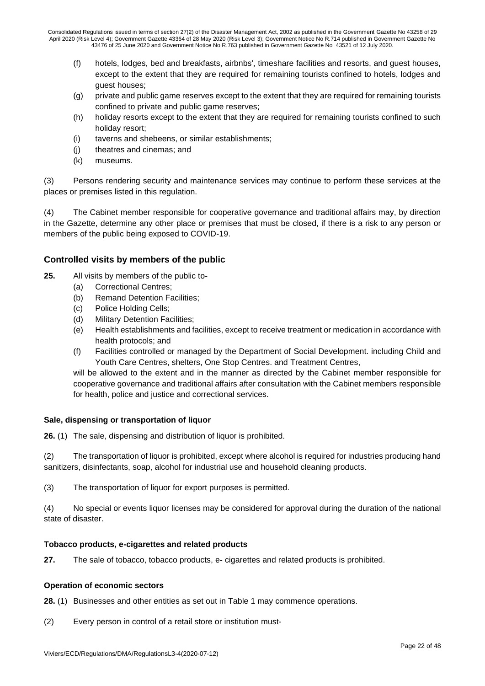- (f) hotels, lodges, bed and breakfasts, airbnbs', timeshare facilities and resorts, and guest houses, except to the extent that they are required for remaining tourists confined to hotels, lodges and guest houses;
- (g) private and public game reserves except to the extent that they are required for remaining tourists confined to private and public game reserves;
- (h) holiday resorts except to the extent that they are required for remaining tourists confined to such holiday resort;
- (i) taverns and shebeens, or similar establishments;
- (j) theatres and cinemas; and
- (k) museums.

(3) Persons rendering security and maintenance services may continue to perform these services at the places or premises listed in this regulation.

(4) The Cabinet member responsible for cooperative governance and traditional affairs may, by direction in the Gazette, determine any other place or premises that must be closed, if there is a risk to any person or members of the public being exposed to COVID-19.

## **Controlled visits by members of the public**

- **25.** All visits by members of the public to-
	- (a) Correctional Centres;
	- (b) Remand Detention Facilities;
	- (c) Police Holding Cells;
	- (d) Military Detention Facilities;
	- (e) Health establishments and facilities, except to receive treatment or medication in accordance with health protocols; and
	- (f) Facilities controlled or managed by the Department of Social Development. including Child and Youth Care Centres, shelters, One Stop Centres. and Treatment Centres,

will be allowed to the extent and in the manner as directed by the Cabinet member responsible for cooperative governance and traditional affairs after consultation with the Cabinet members responsible for health, police and justice and correctional services.

#### **Sale, dispensing or transportation of liquor**

**26.** (1) The sale, dispensing and distribution of liquor is prohibited.

(2) The transportation of liquor is prohibited, except where alcohol is required for industries producing hand sanitizers, disinfectants, soap, alcohol for industrial use and household cleaning products.

(3) The transportation of liquor for export purposes is permitted.

(4) No special or events liquor licenses may be considered for approval during the duration of the national state of disaster.

#### **Tobacco products, e-cigarettes and related products**

**27.** The sale of tobacco, tobacco products, e- cigarettes and related products is prohibited.

#### **Operation of economic sectors**

**28.** (1) Businesses and other entities as set out in Table 1 may commence operations.

(2) Every person in control of a retail store or institution must-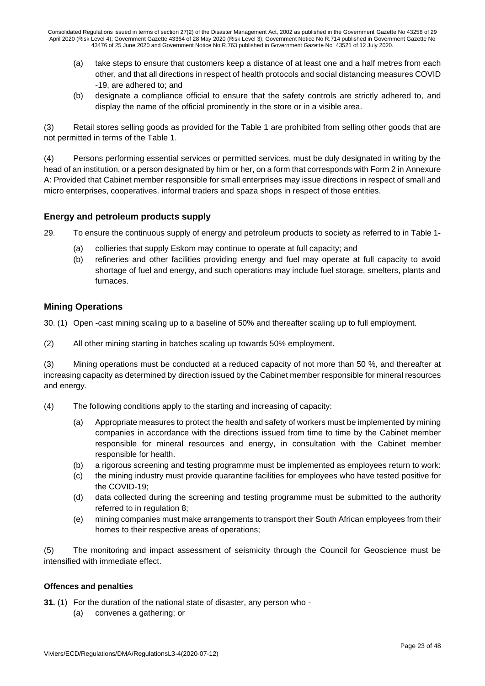- (a) take steps to ensure that customers keep a distance of at least one and a half metres from each other, and that all directions in respect of health protocols and social distancing measures COVID -19, are adhered to; and
- (b) designate a compliance official to ensure that the safety controls are strictly adhered to, and display the name of the official prominently in the store or in a visible area.

(3) Retail stores selling goods as provided for the Table 1 are prohibited from selling other goods that are not permitted in terms of the Table 1.

(4) Persons performing essential services or permitted services, must be duly designated in writing by the head of an institution, or a person designated by him or her, on a form that corresponds with Form 2 in Annexure A: Provided that Cabinet member responsible for small enterprises may issue directions in respect of small and micro enterprises, cooperatives. informal traders and spaza shops in respect of those entities.

## **Energy and petroleum products supply**

29. To ensure the continuous supply of energy and petroleum products to society as referred to in Table 1-

- (a) collieries that supply Eskom may continue to operate at full capacity; and
- (b) refineries and other facilities providing energy and fuel may operate at full capacity to avoid shortage of fuel and energy, and such operations may include fuel storage, smelters, plants and furnaces.

## **Mining Operations**

30. (1) Open -cast mining scaling up to a baseline of 50% and thereafter scaling up to full employment.

(2) All other mining starting in batches scaling up towards 50% employment.

(3) Mining operations must be conducted at a reduced capacity of not more than 50 %, and thereafter at increasing capacity as determined by direction issued by the Cabinet member responsible for mineral resources and energy.

- (4) The following conditions apply to the starting and increasing of capacity:
	- (a) Appropriate measures to protect the health and safety of workers must be implemented by mining companies in accordance with the directions issued from time to time by the Cabinet member responsible for mineral resources and energy, in consultation with the Cabinet member responsible for health.
	- (b) a rigorous screening and testing programme must be implemented as employees return to work:
	- (c) the mining industry must provide quarantine facilities for employees who have tested positive for the COVID-19;
	- (d) data collected during the screening and testing programme must be submitted to the authority referred to in regulation 8;
	- (e) mining companies must make arrangements to transport their South African employees from their homes to their respective areas of operations;

(5) The monitoring and impact assessment of seismicity through the Council for Geoscience must be intensified with immediate effect.

#### **Offences and penalties**

**31.** (1) For the duration of the national state of disaster, any person who -

(a) convenes a gathering; or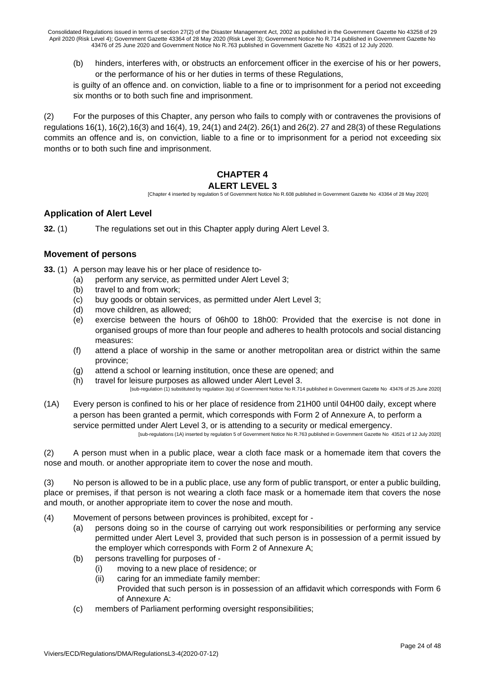(b) hinders, interferes with, or obstructs an enforcement officer in the exercise of his or her powers, or the performance of his or her duties in terms of these Regulations,

is guilty of an offence and. on conviction, liable to a fine or to imprisonment for a period not exceeding six months or to both such fine and imprisonment.

(2) For the purposes of this Chapter, any person who fails to comply with or contravenes the provisions of regulations 16(1), 16(2),16(3) and 16(4), 19, 24(1) and 24(2). 26(1) and 26(2). 27 and 28(3) of these Regulations commits an offence and is, on conviction, liable to a fine or to imprisonment for a period not exceeding six months or to both such fine and imprisonment.

#### **CHAPTER 4 ALERT LEVEL 3**

[Chapter 4 inserted by regulation 5 of Government Notice No R.608 published in Government Gazette No 43364 of 28 May 2020]

## **Application of Alert Level**

**32.** (1) The regulations set out in this Chapter apply during Alert Level 3.

## **Movement of persons**

**33.** (1) A person may leave his or her place of residence to-

- (a) perform any service, as permitted under Alert Level 3;
- (b) travel to and from work;
- (c) buy goods or obtain services, as permitted under Alert Level 3;
- (d) move children, as allowed;
- (e) exercise between the hours of 06h00 to 18h00: Provided that the exercise is not done in organised groups of more than four people and adheres to health protocols and social distancing measures:
- (f) attend a place of worship in the same or another metropolitan area or district within the same province;
- (g) attend a school or learning institution, once these are opened; and
- (h) travel for leisure purposes as allowed under Alert Level 3.

[sub-regulation (1) substituted by regulation 3(a) of Government Notice No R.714 published in Government Gazette No 43476 of 25 June 2020]

(1A) Every person is confined to his or her place of residence from 21H00 until 04H00 daily, except where a person has been granted a permit, which corresponds with Form 2 of Annexure A, to perform a service permitted under Alert Level 3, or is attending to a security or medical emergency. [sub-regulations (1A) inserted by regulation 5 of Government Notice No R.763 published in Government Gazette No 43521 of 12 July 2020]

(2) A person must when in a public place, wear a cloth face mask or a homemade item that covers the nose and mouth. or another appropriate item to cover the nose and mouth.

(3) No person is allowed to be in a public place, use any form of public transport, or enter a public building, place or premises, if that person is not wearing a cloth face mask or a homemade item that covers the nose and mouth, or another appropriate item to cover the nose and mouth.

- (4) Movement of persons between provinces is prohibited, except for
	- (a) persons doing so in the course of carrying out work responsibilities or performing any service permitted under Alert Level 3, provided that such person is in possession of a permit issued by the employer which corresponds with Form 2 of Annexure A;
	- (b) persons travelling for purposes of
		- (i) moving to a new place of residence; or
		- (ii) caring for an immediate family member: Provided that such person is in possession of an affidavit which corresponds with Form 6 of Annexure A:
	- (c) members of Parliament performing oversight responsibilities;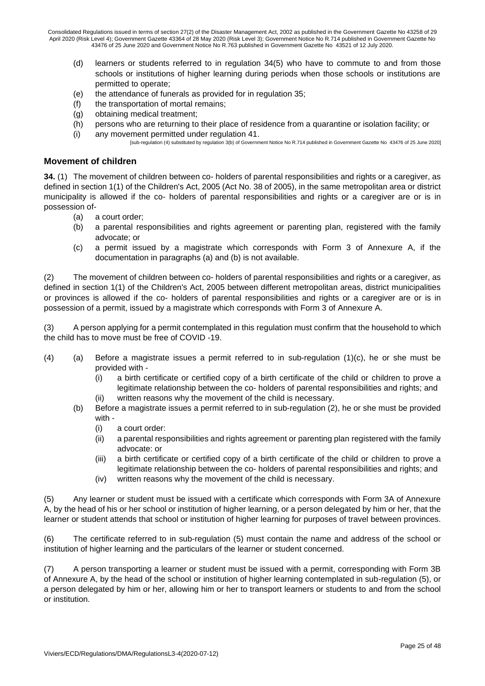- (d) learners or students referred to in regulation 34(5) who have to commute to and from those schools or institutions of higher learning during periods when those schools or institutions are permitted to operate;
- (e) the attendance of funerals as provided for in regulation 35;
- (f) the transportation of mortal remains;
- (g) obtaining medical treatment;
- (h) persons who are returning to their place of residence from a quarantine or isolation facility; or
- (i) any movement permitted under regulation 41. [sub-regulation (4) substituted by regulation 3(b) of Government Notice No R.714 published in Government Gazette No 43476 of 25 June 2020]

#### **Movement of children**

**34.** (1) The movement of children between co- holders of parental responsibilities and rights or a caregiver, as defined in section 1(1) of the Children's Act, 2005 (Act No. 38 of 2005), in the same metropolitan area or district municipality is allowed if the co- holders of parental responsibilities and rights or a caregiver are or is in possession of-

- (a) a court order;
- (b) a parental responsibilities and rights agreement or parenting plan, registered with the family advocate; or
- (c) a permit issued by a magistrate which corresponds with Form 3 of Annexure A, if the documentation in paragraphs (a) and (b) is not available.

(2) The movement of children between co- holders of parental responsibilities and rights or a caregiver, as defined in section 1(1) of the Children's Act, 2005 between different metropolitan areas, district municipalities or provinces is allowed if the co- holders of parental responsibilities and rights or a caregiver are or is in possession of a permit, issued by a magistrate which corresponds with Form 3 of Annexure A.

(3) A person applying for a permit contemplated in this regulation must confirm that the household to which the child has to move must be free of COVID -19.

- (4) (a) Before a magistrate issues a permit referred to in sub-regulation (1)(c), he or she must be provided with -
	- (i) a birth certificate or certified copy of a birth certificate of the child or children to prove a legitimate relationship between the co- holders of parental responsibilities and rights; and
	- (ii) written reasons why the movement of the child is necessary.
	- (b) Before a magistrate issues a permit referred to in sub-regulation (2), he or she must be provided with -
		- (i) a court order:
		- (ii) a parental responsibilities and rights agreement or parenting plan registered with the family advocate: or
		- (iii) a birth certificate or certified copy of a birth certificate of the child or children to prove a legitimate relationship between the co- holders of parental responsibilities and rights; and
		- (iv) written reasons why the movement of the child is necessary.

(5) Any learner or student must be issued with a certificate which corresponds with Form 3A of Annexure A, by the head of his or her school or institution of higher learning, or a person delegated by him or her, that the learner or student attends that school or institution of higher learning for purposes of travel between provinces.

(6) The certificate referred to in sub-regulation (5) must contain the name and address of the school or institution of higher learning and the particulars of the learner or student concerned.

(7) A person transporting a learner or student must be issued with a permit, corresponding with Form 3B of Annexure A, by the head of the school or institution of higher learning contemplated in sub-regulation (5), or a person delegated by him or her, allowing him or her to transport learners or students to and from the school or institution.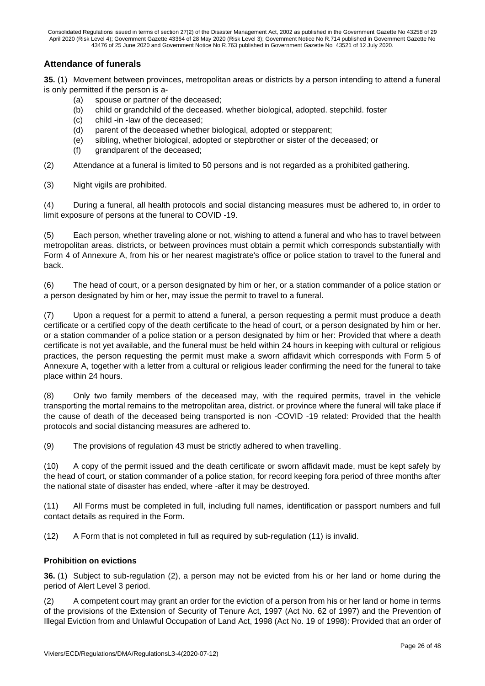### **Attendance of funerals**

**35.** (1) Movement between provinces, metropolitan areas or districts by a person intending to attend a funeral is only permitted if the person is a-

- (a) spouse or partner of the deceased;
- (b) child or grandchild of the deceased. whether biological, adopted. stepchild. foster
- (c) child -in -law of the deceased;
- (d) parent of the deceased whether biological, adopted or stepparent;
- (e) sibling, whether biological, adopted or stepbrother or sister of the deceased; or
- (f) grandparent of the deceased;

(2) Attendance at a funeral is limited to 50 persons and is not regarded as a prohibited gathering.

(3) Night vigils are prohibited.

(4) During a funeral, all health protocols and social distancing measures must be adhered to, in order to limit exposure of persons at the funeral to COVID -19.

(5) Each person, whether traveling alone or not, wishing to attend a funeral and who has to travel between metropolitan areas. districts, or between provinces must obtain a permit which corresponds substantially with Form 4 of Annexure A, from his or her nearest magistrate's office or police station to travel to the funeral and back.

(6) The head of court, or a person designated by him or her, or a station commander of a police station or a person designated by him or her, may issue the permit to travel to a funeral.

(7) Upon a request for a permit to attend a funeral, a person requesting a permit must produce a death certificate or a certified copy of the death certificate to the head of court, or a person designated by him or her. or a station commander of a police station or a person designated by him or her: Provided that where a death certificate is not yet available, and the funeral must be held within 24 hours in keeping with cultural or religious practices, the person requesting the permit must make a sworn affidavit which corresponds with Form 5 of Annexure A, together with a letter from a cultural or religious leader confirming the need for the funeral to take place within 24 hours.

(8) Only two family members of the deceased may, with the required permits, travel in the vehicle transporting the mortal remains to the metropolitan area, district. or province where the funeral will take place if the cause of death of the deceased being transported is non -COVID -19 related: Provided that the health protocols and social distancing measures are adhered to.

(9) The provisions of regulation 43 must be strictly adhered to when travelling.

(10) A copy of the permit issued and the death certificate or sworn affidavit made, must be kept safely by the head of court, or station commander of a police station, for record keeping fora period of three months after the national state of disaster has ended, where -after it may be destroyed.

(11) All Forms must be completed in full, including full names, identification or passport numbers and full contact details as required in the Form.

(12) A Form that is not completed in full as required by sub-regulation (11) is invalid.

#### **Prohibition on evictions**

**36.** (1) Subject to sub-regulation (2), a person may not be evicted from his or her land or home during the period of Alert Level 3 period.

(2) A competent court may grant an order for the eviction of a person from his or her land or home in terms of the provisions of the Extension of Security of Tenure Act, 1997 (Act No. 62 of 1997) and the Prevention of Illegal Eviction from and Unlawful Occupation of Land Act, 1998 (Act No. 19 of 1998): Provided that an order of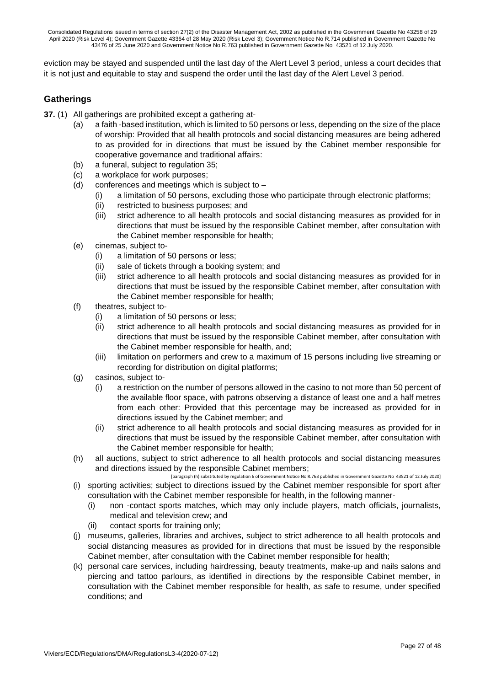eviction may be stayed and suspended until the last day of the Alert Level 3 period, unless a court decides that it is not just and equitable to stay and suspend the order until the last day of the Alert Level 3 period.

## **Gatherings**

- **37.** (1) All gatherings are prohibited except a gathering at-
	- (a) a faith -based institution, which is limited to 50 persons or less, depending on the size of the place of worship: Provided that all health protocols and social distancing measures are being adhered to as provided for in directions that must be issued by the Cabinet member responsible for cooperative governance and traditional affairs:
	- (b) a funeral, subject to regulation 35;
	- (c) a workplace for work purposes;
	- (d) conferences and meetings which is subject to
		- (i) a limitation of 50 persons, excluding those who participate through electronic platforms;
		- (ii) restricted to business purposes; and
		- (iii) strict adherence to all health protocols and social distancing measures as provided for in directions that must be issued by the responsible Cabinet member, after consultation with the Cabinet member responsible for health;
	- (e) cinemas, subject to-
		- (i) a limitation of 50 persons or less;
		- (ii) sale of tickets through a booking system; and
		- (iii) strict adherence to all health protocols and social distancing measures as provided for in directions that must be issued by the responsible Cabinet member, after consultation with the Cabinet member responsible for health;
	- (f) theatres, subject to-
		- (i) a limitation of 50 persons or less;
		- (ii) strict adherence to all health protocols and social distancing measures as provided for in directions that must be issued by the responsible Cabinet member, after consultation with the Cabinet member responsible for health, and;
		- (iii) limitation on performers and crew to a maximum of 15 persons including live streaming or recording for distribution on digital platforms;
	- (g) casinos, subject to-
		- (i) a restriction on the number of persons allowed in the casino to not more than 50 percent of the available floor space, with patrons observing a distance of least one and a half metres from each other: Provided that this percentage may be increased as provided for in directions issued by the Cabinet member; and
		- (ii) strict adherence to all health protocols and social distancing measures as provided for in directions that must be issued by the responsible Cabinet member, after consultation with the Cabinet member responsible for health;
	- (h) all auctions, subject to strict adherence to all health protocols and social distancing measures and directions issued by the responsible Cabinet members;

[paragraph (h) substituted by regulation 6 of Government Notice No R.763 published in Government Gazette No 43521 of 12 July 2020] (i) sporting activities; subject to directions issued by the Cabinet member responsible for sport after consultation with the Cabinet member responsible for health, in the following manner-

- (i) non -contact sports matches, which may only include players, match officials, journalists, medical and television crew; and
- contact sports for training only:
- (j) museums, galleries, libraries and archives, subject to strict adherence to all health protocols and social distancing measures as provided for in directions that must be issued by the responsible Cabinet member, after consultation with the Cabinet member responsible for health;
- (k) personal care services, including hairdressing, beauty treatments, make-up and nails salons and piercing and tattoo parlours, as identified in directions by the responsible Cabinet member, in consultation with the Cabinet member responsible for health, as safe to resume, under specified conditions; and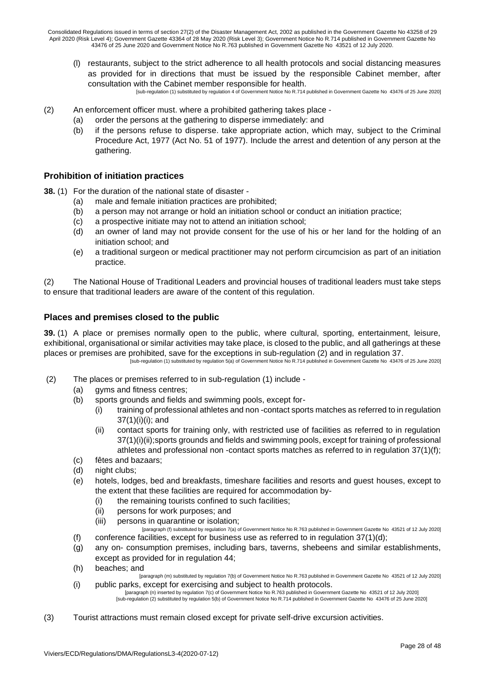(l) restaurants, subject to the strict adherence to all health protocols and social distancing measures as provided for in directions that must be issued by the responsible Cabinet member, after consultation with the Cabinet member responsible for health.

[sub-regulation (1) substituted by regulation 4 of Government Notice No R.714 published in Government Gazette No 43476 of 25 June 2020]

- (2) An enforcement officer must. where a prohibited gathering takes place
	- (a) order the persons at the gathering to disperse immediately: and
	- (b) if the persons refuse to disperse. take appropriate action, which may, subject to the Criminal Procedure Act, 1977 (Act No. 51 of 1977). Include the arrest and detention of any person at the gathering.

#### **Prohibition of initiation practices**

**38.** (1) For the duration of the national state of disaster -

- (a) male and female initiation practices are prohibited;
- (b) a person may not arrange or hold an initiation school or conduct an initiation practice;
- (c) a prospective initiate may not to attend an initiation school;
- (d) an owner of land may not provide consent for the use of his or her land for the holding of an initiation school; and
- (e) a traditional surgeon or medical practitioner may not perform circumcision as part of an initiation practice.

(2) The National House of Traditional Leaders and provincial houses of traditional leaders must take steps to ensure that traditional leaders are aware of the content of this regulation.

## **Places and premises closed to the public**

**39.** (1) A place or premises normally open to the public, where cultural, sporting, entertainment, leisure, exhibitional, organisational or similar activities may take place, is closed to the public, and all gatherings at these places or premises are prohibited, save for the exceptions in sub-regulation (2) and in regulation 37. [sub-regulation (1) substituted by regulation 5(a) of Government Notice No R.714 published in Government Gazette No 43476 of 25 June 2020]

- (2) The places or premises referred to in sub-regulation (1) include
	- (a) gyms and fitness centres;
	- (b) sports grounds and fields and swimming pools, except for-
		- (i) training of professional athletes and non -contact sports matches as referred to in regulation  $37(1)(i)(i)$ ; and
		- (ii) contact sports for training only, with restricted use of facilities as referred to in regulation 37(1)(ii);sports grounds and fields and swimming pools, except for training of professional athletes and professional non -contact sports matches as referred to in regulation 37(1)(f);
	- (c) fêtes and bazaars;
	- (d) night clubs;
	- (e) hotels, lodges, bed and breakfasts, timeshare facilities and resorts and guest houses, except to the extent that these facilities are required for accommodation by-
		- (i) the remaining tourists confined to such facilities;
		- (ii) persons for work purposes; and
		- (iii) persons in quarantine or isolation;
		- [paragraph (f) substituted by regulation 7(a) of Government Notice No R.763 published in Government Gazette No 43521 of 12 July 2020]
	- (f) conference facilities, except for business use as referred to in regulation  $37(1)(d)$ ;
	- (g) any on- consumption premises, including bars, taverns, shebeens and similar establishments, except as provided for in regulation 44;
	- (h) beaches; and
	- [paragraph (m) substituted by regulation 7(b) of Government Notice No R.763 published in Government Gazette No 43521 of 12 July 2020] (i) public parks, except for exercising and subject to health protocols.

[paragraph (n) inserted by regulation 7(c) of Government Notice No R.763 published in Government Gazette No 43521 of 12 July 2020] [sub-regulation (2) substituted by regulation 5(b) of Government Notice No R.714 published in Government Gazette No 43476 of 25 June 2020]

(3) Tourist attractions must remain closed except for private self-drive excursion activities.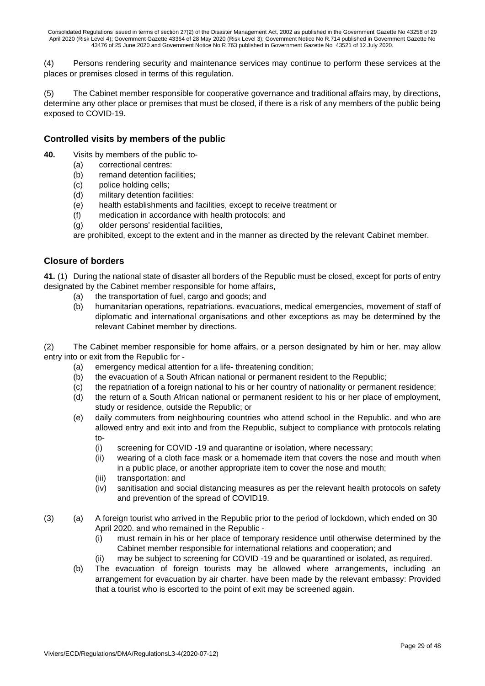(4) Persons rendering security and maintenance services may continue to perform these services at the places or premises closed in terms of this regulation.

(5) The Cabinet member responsible for cooperative governance and traditional affairs may, by directions, determine any other place or premises that must be closed, if there is a risk of any members of the public being exposed to COVID-19.

#### **Controlled visits by members of the public**

- **40.** Visits by members of the public to-
	- (a) correctional centres:
	- (b) remand detention facilities;
	- (c) police holding cells;
	- (d) military detention facilities:
	- (e) health establishments and facilities, except to receive treatment or
	- (f) medication in accordance with health protocols: and
	- (g) older persons' residential facilities,

are prohibited, except to the extent and in the manner as directed by the relevant Cabinet member.

#### **Closure of borders**

**41.** (1) During the national state of disaster all borders of the Republic must be closed, except for ports of entry designated by the Cabinet member responsible for home affairs,

- (a) the transportation of fuel, cargo and goods; and
- (b) humanitarian operations, repatriations. evacuations, medical emergencies, movement of staff of diplomatic and international organisations and other exceptions as may be determined by the relevant Cabinet member by directions.

(2) The Cabinet member responsible for home affairs, or a person designated by him or her. may allow entry into or exit from the Republic for -

- (a) emergency medical attention for a life- threatening condition;
- (b) the evacuation of a South African national or permanent resident to the Republic;
- (c) the repatriation of a foreign national to his or her country of nationality or permanent residence;
- (d) the return of a South African national or permanent resident to his or her place of employment, study or residence, outside the Republic; or
- (e) daily commuters from neighbouring countries who attend school in the Republic. and who are allowed entry and exit into and from the Republic, subject to compliance with protocols relating to-
	- (i) screening for COVID -19 and quarantine or isolation, where necessary;
	- (ii) wearing of a cloth face mask or a homemade item that covers the nose and mouth when in a public place, or another appropriate item to cover the nose and mouth;
	- (iii) transportation: and
	- (iv) sanitisation and social distancing measures as per the relevant health protocols on safety and prevention of the spread of COVID19.
- (3) (a) A foreign tourist who arrived in the Republic prior to the period of lockdown, which ended on 30 April 2020. and who remained in the Republic -
	- (i) must remain in his or her place of temporary residence until otherwise determined by the Cabinet member responsible for international relations and cooperation; and
	- (ii) may be subject to screening for COVID -19 and be quarantined or isolated, as required.
	- (b) The evacuation of foreign tourists may be allowed where arrangements, including an arrangement for evacuation by air charter. have been made by the relevant embassy: Provided that a tourist who is escorted to the point of exit may be screened again.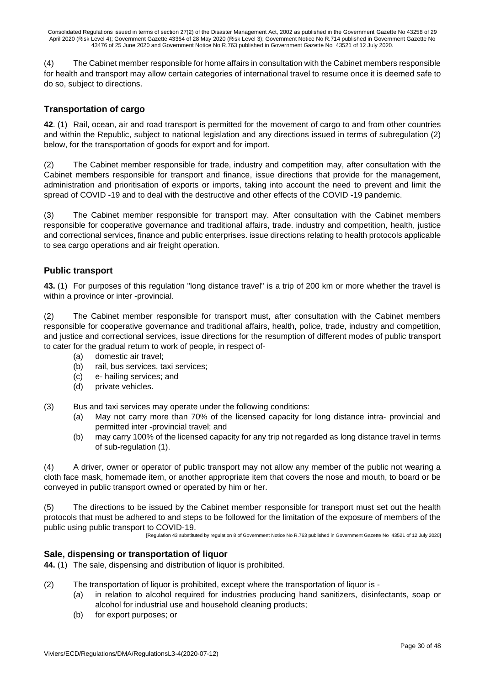(4) The Cabinet member responsible for home affairs in consultation with the Cabinet members responsible for health and transport may allow certain categories of international travel to resume once it is deemed safe to do so, subject to directions.

## **Transportation of cargo**

**42**. (1) Rail, ocean, air and road transport is permitted for the movement of cargo to and from other countries and within the Republic, subject to national legislation and any directions issued in terms of subregulation (2) below, for the transportation of goods for export and for import.

(2) The Cabinet member responsible for trade, industry and competition may, after consultation with the Cabinet members responsible for transport and finance, issue directions that provide for the management, administration and prioritisation of exports or imports, taking into account the need to prevent and limit the spread of COVID -19 and to deal with the destructive and other effects of the COVID -19 pandemic.

(3) The Cabinet member responsible for transport may. After consultation with the Cabinet members responsible for cooperative governance and traditional affairs, trade. industry and competition, health, justice and correctional services, finance and public enterprises. issue directions relating to health protocols applicable to sea cargo operations and air freight operation.

## **Public transport**

**43.** (1) For purposes of this regulation "long distance travel" is a trip of 200 km or more whether the travel is within a province or inter -provincial.

(2) The Cabinet member responsible for transport must, after consultation with the Cabinet members responsible for cooperative governance and traditional affairs, health, police, trade, industry and competition, and justice and correctional services, issue directions for the resumption of different modes of public transport to cater for the gradual return to work of people, in respect of-

- (a) domestic air travel;
- (b) rail, bus services, taxi services;
- (c) e- hailing services; and
- (d) private vehicles.

(3) Bus and taxi services may operate under the following conditions:

- (a) May not carry more than 70% of the licensed capacity for long distance intra- provincial and permitted inter -provincial travel; and
- (b) may carry 100% of the licensed capacity for any trip not regarded as long distance travel in terms of sub-regulation (1).

(4) A driver, owner or operator of public transport may not allow any member of the public not wearing a cloth face mask, homemade item, or another appropriate item that covers the nose and mouth, to board or be conveyed in public transport owned or operated by him or her.

(5) The directions to be issued by the Cabinet member responsible for transport must set out the health protocols that must be adhered to and steps to be followed for the limitation of the exposure of members of the public using public transport to COVID-19.

[Regulation 43 substituted by regulation 8 of Government Notice No R.763 published in Government Gazette No 43521 of 12 July 2020]

## **Sale, dispensing or transportation of liquor**

**44.** (1) The sale, dispensing and distribution of liquor is prohibited.

- (2) The transportation of liquor is prohibited, except where the transportation of liquor is
	- (a) in relation to alcohol required for industries producing hand sanitizers, disinfectants, soap or alcohol for industrial use and household cleaning products;
	- (b) for export purposes; or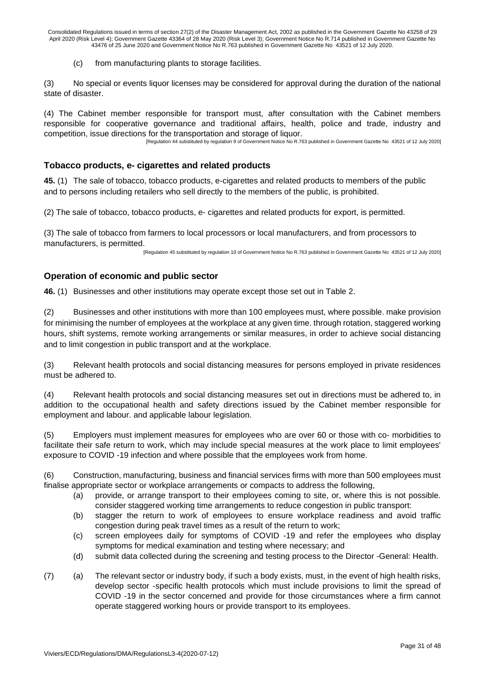(c) from manufacturing plants to storage facilities.

(3) No special or events liquor licenses may be considered for approval during the duration of the national state of disaster.

(4) The Cabinet member responsible for transport must, after consultation with the Cabinet members responsible for cooperative governance and traditional affairs, health, police and trade, industry and competition, issue directions for the transportation and storage of liquor.

[Regulation 44 substituted by regulation 9 of Government Notice No R.763 published in Government Gazette No 43521 of 12 July 2020]

## **Tobacco products, e- cigarettes and related products**

**45.** (1) The sale of tobacco, tobacco products, e-cigarettes and related products to members of the public and to persons including retailers who sell directly to the members of the public, is prohibited.

(2) The sale of tobacco, tobacco products, e- cigarettes and related products for export, is permitted.

(3) The sale of tobacco from farmers to local processors or local manufacturers, and from processors to manufacturers, is permitted.

[Regulation 45 substituted by regulation 10 of Government Notice No R.763 published in Government Gazette No 43521 of 12 July 2020]

## **Operation of economic and public sector**

**46.** (1) Businesses and other institutions may operate except those set out in Table 2.

(2) Businesses and other institutions with more than 100 employees must, where possible. make provision for minimising the number of employees at the workplace at any given time. through rotation, staggered working hours, shift systems, remote working arrangements or similar measures, in order to achieve social distancing and to limit congestion in public transport and at the workplace.

(3) Relevant health protocols and social distancing measures for persons employed in private residences must be adhered to.

(4) Relevant health protocols and social distancing measures set out in directions must be adhered to, in addition to the occupational health and safety directions issued by the Cabinet member responsible for employment and labour. and applicable labour legislation.

(5) Employers must implement measures for employees who are over 60 or those with co- morbidities to facilitate their safe return to work, which may include special measures at the work place to limit employees' exposure to COVID -19 infection and where possible that the employees work from home.

(6) Construction, manufacturing, business and financial services firms with more than 500 employees must finalise appropriate sector or workplace arrangements or compacts to address the following,

- (a) provide, or arrange transport to their employees coming to site, or, where this is not possible. consider staggered working time arrangements to reduce congestion in public transport:
- (b) stagger the return to work of employees to ensure workplace readiness and avoid traffic congestion during peak travel times as a result of the return to work;
- (c) screen employees daily for symptoms of COVID -19 and refer the employees who display symptoms for medical examination and testing where necessary; and
- (d) submit data collected during the screening and testing process to the Director -General: Health.
- (7) (a) The relevant sector or industry body, if such a body exists, must, in the event of high health risks, develop sector -specific health protocols which must include provisions to limit the spread of COVID -19 in the sector concerned and provide for those circumstances where a firm cannot operate staggered working hours or provide transport to its employees.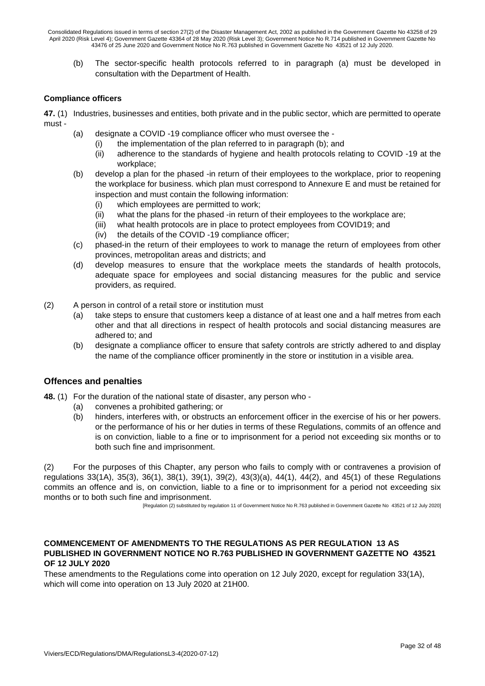(b) The sector-specific health protocols referred to in paragraph (a) must be developed in consultation with the Department of Health.

#### **Compliance officers**

**47.** (1) Industries, businesses and entities, both private and in the public sector, which are permitted to operate must -

- (a) designate a COVID -19 compliance officer who must oversee the
	- (i) the implementation of the plan referred to in paragraph (b); and
	- (ii) adherence to the standards of hygiene and health protocols relating to COVID -19 at the workplace;
- (b) develop a plan for the phased -in return of their employees to the workplace, prior to reopening the workplace for business. which plan must correspond to Annexure E and must be retained for inspection and must contain the following information:
	- (i) which employees are permitted to work;
	- (ii) what the plans for the phased -in return of their employees to the workplace are;
	- (iii) what health protocols are in place to protect employees from COVID19; and
	- (iv) the details of the COVID -19 compliance officer;
- (c) phased-in the return of their employees to work to manage the return of employees from other provinces, metropolitan areas and districts; and
- (d) develop measures to ensure that the workplace meets the standards of health protocols, adequate space for employees and social distancing measures for the public and service providers, as required.
- (2) A person in control of a retail store or institution must
	- (a) take steps to ensure that customers keep a distance of at least one and a half metres from each other and that all directions in respect of health protocols and social distancing measures are adhered to; and
	- (b) designate a compliance officer to ensure that safety controls are strictly adhered to and display the name of the compliance officer prominently in the store or institution in a visible area.

#### **Offences and penalties**

- **48.** (1) For the duration of the national state of disaster, any person who
	- (a) convenes a prohibited gathering; or
	- (b) hinders, interferes with, or obstructs an enforcement officer in the exercise of his or her powers. or the performance of his or her duties in terms of these Regulations, commits of an offence and is on conviction, liable to a fine or to imprisonment for a period not exceeding six months or to both such fine and imprisonment.

(2) For the purposes of this Chapter, any person who fails to comply with or contravenes a provision of regulations 33(1A), 35(3), 36(1), 38(1), 39(1), 39(2), 43(3)(a), 44(1), 44(2), and 45(1) of these Regulations commits an offence and is, on conviction, liable to a fine or to imprisonment for a period not exceeding six months or to both such fine and imprisonment.

[Regulation (2) substituted by regulation 11 of Government Notice No R.763 published in Government Gazette No 43521 of 12 July 2020]

#### **COMMENCEMENT OF AMENDMENTS TO THE REGULATIONS AS PER REGULATION 13 AS PUBLISHED IN GOVERNMENT NOTICE NO R.763 PUBLISHED IN GOVERNMENT GAZETTE NO 43521 OF 12 JULY 2020**

These amendments to the Regulations come into operation on 12 July 2020, except for regulation 33(1A), which will come into operation on 13 July 2020 at 21H00.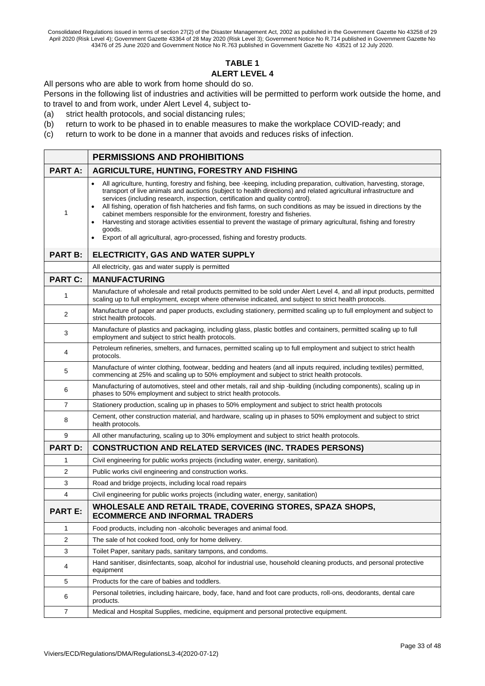## **TABLE 1 ALERT LEVEL 4**

All persons who are able to work from home should do so.

Persons in the following list of industries and activities will be permitted to perform work outside the home, and to travel to and from work, under Alert Level 4, subject to-

(a) strict health protocols, and social distancing rules;

- (b) return to work to be phased in to enable measures to make the workplace COVID-ready; and
- (c) return to work to be done in a manner that avoids and reduces risks of infection.

|                | <b>PERMISSIONS AND PROHIBITIONS</b>                                                                                                                                                                                                                                                                                                                                                                                                                                                                                                                                                                                                                                                                                                                    |
|----------------|--------------------------------------------------------------------------------------------------------------------------------------------------------------------------------------------------------------------------------------------------------------------------------------------------------------------------------------------------------------------------------------------------------------------------------------------------------------------------------------------------------------------------------------------------------------------------------------------------------------------------------------------------------------------------------------------------------------------------------------------------------|
| <b>PART A:</b> | <b>AGRICULTURE, HUNTING, FORESTRY AND FISHING</b>                                                                                                                                                                                                                                                                                                                                                                                                                                                                                                                                                                                                                                                                                                      |
| 1              | All agriculture, hunting, forestry and fishing, bee-keeping, including preparation, cultivation, harvesting, storage,<br>transport of live animals and auctions (subject to health directions) and related agricultural infrastructure and<br>services (including research, inspection, certification and quality control).<br>All fishing, operation of fish hatcheries and fish farms, on such conditions as may be issued in directions by the<br>cabinet members responsible for the environment, forestry and fisheries.<br>Harvesting and storage activities essential to prevent the wastage of primary agricultural, fishing and forestry<br>goods.<br>Export of all agricultural, agro-processed, fishing and forestry products.<br>$\bullet$ |
| <b>PART B:</b> | ELECTRICITY, GAS AND WATER SUPPLY                                                                                                                                                                                                                                                                                                                                                                                                                                                                                                                                                                                                                                                                                                                      |
|                | All electricity, gas and water supply is permitted                                                                                                                                                                                                                                                                                                                                                                                                                                                                                                                                                                                                                                                                                                     |
| <b>PART C:</b> | <b>MANUFACTURING</b>                                                                                                                                                                                                                                                                                                                                                                                                                                                                                                                                                                                                                                                                                                                                   |
| 1              | Manufacture of wholesale and retail products permitted to be sold under Alert Level 4, and all input products, permitted<br>scaling up to full employment, except where otherwise indicated, and subject to strict health protocols.                                                                                                                                                                                                                                                                                                                                                                                                                                                                                                                   |
| 2              | Manufacture of paper and paper products, excluding stationery, permitted scaling up to full employment and subject to<br>strict health protocols.                                                                                                                                                                                                                                                                                                                                                                                                                                                                                                                                                                                                      |
| 3              | Manufacture of plastics and packaging, including glass, plastic bottles and containers, permitted scaling up to full<br>employment and subject to strict health protocols.                                                                                                                                                                                                                                                                                                                                                                                                                                                                                                                                                                             |
| 4              | Petroleum refineries, smelters, and furnaces, permitted scaling up to full employment and subject to strict health<br>protocols.                                                                                                                                                                                                                                                                                                                                                                                                                                                                                                                                                                                                                       |
| 5              | Manufacture of winter clothing, footwear, bedding and heaters (and all inputs required, including textiles) permitted,<br>commencing at 25% and scaling up to 50% employment and subject to strict health protocols.                                                                                                                                                                                                                                                                                                                                                                                                                                                                                                                                   |
| 6              | Manufacturing of automotives, steel and other metals, rail and ship-building (including components), scaling up in<br>phases to 50% employment and subject to strict health protocols.                                                                                                                                                                                                                                                                                                                                                                                                                                                                                                                                                                 |
| $\overline{7}$ | Stationery production, scaling up in phases to 50% employment and subject to strict health protocols                                                                                                                                                                                                                                                                                                                                                                                                                                                                                                                                                                                                                                                   |
| 8              | Cement, other construction material, and hardware, scaling up in phases to 50% employment and subject to strict<br>health protocols.                                                                                                                                                                                                                                                                                                                                                                                                                                                                                                                                                                                                                   |
| 9              | All other manufacturing, scaling up to 30% employment and subject to strict health protocols.                                                                                                                                                                                                                                                                                                                                                                                                                                                                                                                                                                                                                                                          |
| <b>PART D:</b> | <b>CONSTRUCTION AND RELATED SERVICES (INC. TRADES PERSONS)</b>                                                                                                                                                                                                                                                                                                                                                                                                                                                                                                                                                                                                                                                                                         |
| 1              | Civil engineering for public works projects (including water, energy, sanitation).                                                                                                                                                                                                                                                                                                                                                                                                                                                                                                                                                                                                                                                                     |
| 2              | Public works civil engineering and construction works.                                                                                                                                                                                                                                                                                                                                                                                                                                                                                                                                                                                                                                                                                                 |
| 3              | Road and bridge projects, including local road repairs                                                                                                                                                                                                                                                                                                                                                                                                                                                                                                                                                                                                                                                                                                 |
| 4              | Civil engineering for public works projects (including water, energy, sanitation)                                                                                                                                                                                                                                                                                                                                                                                                                                                                                                                                                                                                                                                                      |
| <b>PART E:</b> | WHOLESALE AND RETAIL TRADE, COVERING STORES, SPAZA SHOPS,<br><b>ECOMMERCE AND INFORMAL TRADERS</b>                                                                                                                                                                                                                                                                                                                                                                                                                                                                                                                                                                                                                                                     |
| 1              | Food products, including non -alcoholic beverages and animal food.                                                                                                                                                                                                                                                                                                                                                                                                                                                                                                                                                                                                                                                                                     |
| 2              | The sale of hot cooked food, only for home delivery.                                                                                                                                                                                                                                                                                                                                                                                                                                                                                                                                                                                                                                                                                                   |
| 3              | Toilet Paper, sanitary pads, sanitary tampons, and condoms.                                                                                                                                                                                                                                                                                                                                                                                                                                                                                                                                                                                                                                                                                            |
| 4              | Hand sanitiser, disinfectants, soap, alcohol for industrial use, household cleaning products, and personal protective<br>equipment                                                                                                                                                                                                                                                                                                                                                                                                                                                                                                                                                                                                                     |
| 5              | Products for the care of babies and toddlers.                                                                                                                                                                                                                                                                                                                                                                                                                                                                                                                                                                                                                                                                                                          |
| 6              | Personal toiletries, including haircare, body, face, hand and foot care products, roll-ons, deodorants, dental care<br>products.                                                                                                                                                                                                                                                                                                                                                                                                                                                                                                                                                                                                                       |
| 7              | Medical and Hospital Supplies, medicine, equipment and personal protective equipment.                                                                                                                                                                                                                                                                                                                                                                                                                                                                                                                                                                                                                                                                  |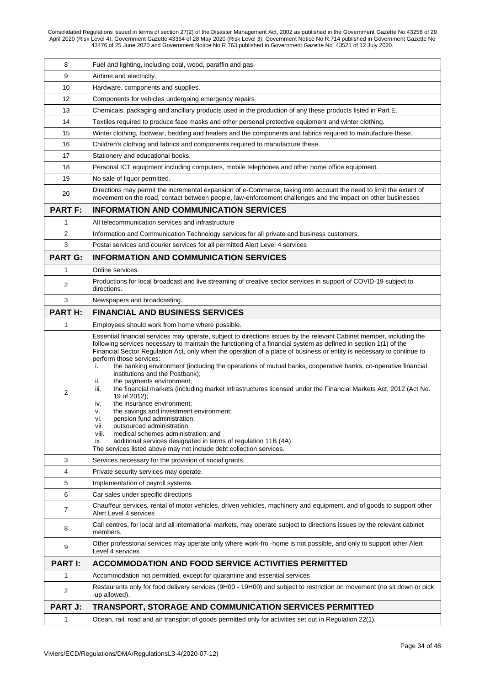| 8              | Fuel and lighting, including coal, wood, paraffin and gas.                                                                                                                                                                                                                                                                                                                                                                                                                                                                                                                                                                                                                                                                                                                                                                                                                                                                                                                                                                                                                                              |
|----------------|---------------------------------------------------------------------------------------------------------------------------------------------------------------------------------------------------------------------------------------------------------------------------------------------------------------------------------------------------------------------------------------------------------------------------------------------------------------------------------------------------------------------------------------------------------------------------------------------------------------------------------------------------------------------------------------------------------------------------------------------------------------------------------------------------------------------------------------------------------------------------------------------------------------------------------------------------------------------------------------------------------------------------------------------------------------------------------------------------------|
| 9              | Airtime and electricity.                                                                                                                                                                                                                                                                                                                                                                                                                                                                                                                                                                                                                                                                                                                                                                                                                                                                                                                                                                                                                                                                                |
| 10             | Hardware, components and supplies.                                                                                                                                                                                                                                                                                                                                                                                                                                                                                                                                                                                                                                                                                                                                                                                                                                                                                                                                                                                                                                                                      |
| 12             | Components for vehicles undergoing emergency repairs                                                                                                                                                                                                                                                                                                                                                                                                                                                                                                                                                                                                                                                                                                                                                                                                                                                                                                                                                                                                                                                    |
| 13             | Chemicals, packaging and ancillary products used in the production of any these products listed in Part E.                                                                                                                                                                                                                                                                                                                                                                                                                                                                                                                                                                                                                                                                                                                                                                                                                                                                                                                                                                                              |
| 14             | Textiles required to produce face masks and other personal protective equipment and winter clothing.                                                                                                                                                                                                                                                                                                                                                                                                                                                                                                                                                                                                                                                                                                                                                                                                                                                                                                                                                                                                    |
| 15             | Winter clothing, footwear, bedding and heaters and the components and fabrics required to manufacture these.                                                                                                                                                                                                                                                                                                                                                                                                                                                                                                                                                                                                                                                                                                                                                                                                                                                                                                                                                                                            |
| 16             | Children's clothing and fabrics and components required to manufacture these.                                                                                                                                                                                                                                                                                                                                                                                                                                                                                                                                                                                                                                                                                                                                                                                                                                                                                                                                                                                                                           |
| 17             | Stationery and educational books.                                                                                                                                                                                                                                                                                                                                                                                                                                                                                                                                                                                                                                                                                                                                                                                                                                                                                                                                                                                                                                                                       |
| 18             | Personal ICT equipment including computers, mobile telephones and other home office equipment.                                                                                                                                                                                                                                                                                                                                                                                                                                                                                                                                                                                                                                                                                                                                                                                                                                                                                                                                                                                                          |
| 19             | No sale of liquor permitted.                                                                                                                                                                                                                                                                                                                                                                                                                                                                                                                                                                                                                                                                                                                                                                                                                                                                                                                                                                                                                                                                            |
| 20             | Directions may permit the incremental expansion of e-Commerce, taking into account the need to limit the extent of<br>movement on the road, contact between people, law-enforcement challenges and the impact on other businesses                                                                                                                                                                                                                                                                                                                                                                                                                                                                                                                                                                                                                                                                                                                                                                                                                                                                       |
| <b>PART F:</b> | <b>INFORMATION AND COMMUNICATION SERVICES</b>                                                                                                                                                                                                                                                                                                                                                                                                                                                                                                                                                                                                                                                                                                                                                                                                                                                                                                                                                                                                                                                           |
| 1              | All telecommunication services and infrastructure                                                                                                                                                                                                                                                                                                                                                                                                                                                                                                                                                                                                                                                                                                                                                                                                                                                                                                                                                                                                                                                       |
| $\overline{2}$ | Information and Communication Technology services for all private and business customers.                                                                                                                                                                                                                                                                                                                                                                                                                                                                                                                                                                                                                                                                                                                                                                                                                                                                                                                                                                                                               |
| 3              | Postal services and courier services for all permitted Alert Level 4 services                                                                                                                                                                                                                                                                                                                                                                                                                                                                                                                                                                                                                                                                                                                                                                                                                                                                                                                                                                                                                           |
| <b>PART G:</b> | <b>INFORMATION AND COMMUNICATION SERVICES</b>                                                                                                                                                                                                                                                                                                                                                                                                                                                                                                                                                                                                                                                                                                                                                                                                                                                                                                                                                                                                                                                           |
| 1              | Online services.                                                                                                                                                                                                                                                                                                                                                                                                                                                                                                                                                                                                                                                                                                                                                                                                                                                                                                                                                                                                                                                                                        |
| 2              | Productions for local broadcast and live streaming of creative sector services in support of COVID-19 subject to<br>directions.                                                                                                                                                                                                                                                                                                                                                                                                                                                                                                                                                                                                                                                                                                                                                                                                                                                                                                                                                                         |
| 3              | Newspapers and broadcasting.                                                                                                                                                                                                                                                                                                                                                                                                                                                                                                                                                                                                                                                                                                                                                                                                                                                                                                                                                                                                                                                                            |
| <b>PARTH:</b>  | <b>FINANCIAL AND BUSINESS SERVICES</b>                                                                                                                                                                                                                                                                                                                                                                                                                                                                                                                                                                                                                                                                                                                                                                                                                                                                                                                                                                                                                                                                  |
| 1              | Employees should work from home where possible.                                                                                                                                                                                                                                                                                                                                                                                                                                                                                                                                                                                                                                                                                                                                                                                                                                                                                                                                                                                                                                                         |
| 2              | Essential financial services may operate, subject to directions issues by the relevant Cabinet member, including the<br>following services necessary to maintain the functioning of a financial system as defined in section 1(1) of the<br>Financial Sector Regulation Act, only when the operation of a place of business or entity is necessary to continue to<br>perform those services:<br>the banking environment (including the operations of mutual banks, cooperative banks, co-operative financial<br>j.<br>institutions and the Postbank);<br>the payments environment;<br>ii.<br>iii.<br>the financial markets (including market infrastructures licensed under the Financial Markets Act, 2012 (Act No.<br>19 of 2012);<br>the insurance environment;<br>iv.<br>the savings and investment environment;<br>٧.<br>pension fund administration;<br>vi.<br>outsourced administration;<br>VII.<br>medical schemes administration; and<br>viii.<br>additional services designated in terms of regulation 11B (4A)<br>ix.<br>The services listed above may not include debt collection services. |
| 3              | Services necessary for the provision of social grants.                                                                                                                                                                                                                                                                                                                                                                                                                                                                                                                                                                                                                                                                                                                                                                                                                                                                                                                                                                                                                                                  |
| 4              | Private security services may operate.                                                                                                                                                                                                                                                                                                                                                                                                                                                                                                                                                                                                                                                                                                                                                                                                                                                                                                                                                                                                                                                                  |
| 5              | Implementation of payroll systems.                                                                                                                                                                                                                                                                                                                                                                                                                                                                                                                                                                                                                                                                                                                                                                                                                                                                                                                                                                                                                                                                      |
| 6              | Car sales under specific directions                                                                                                                                                                                                                                                                                                                                                                                                                                                                                                                                                                                                                                                                                                                                                                                                                                                                                                                                                                                                                                                                     |
| 7              | Chauffeur services, rental of motor vehicles, driven vehicles, machinery and equipment, and of goods to support other<br>Alert Level 4 services                                                                                                                                                                                                                                                                                                                                                                                                                                                                                                                                                                                                                                                                                                                                                                                                                                                                                                                                                         |
| 8              | Call centres, for local and all international markets, may operate subject to directions issues by the relevant cabinet<br>members.                                                                                                                                                                                                                                                                                                                                                                                                                                                                                                                                                                                                                                                                                                                                                                                                                                                                                                                                                                     |
| 9              | Other professional services may operate only where work-fro-home is not possible, and only to support other Alert<br>Level 4 services                                                                                                                                                                                                                                                                                                                                                                                                                                                                                                                                                                                                                                                                                                                                                                                                                                                                                                                                                                   |
| <b>PART I:</b> | <b>ACCOMMODATION AND FOOD SERVICE ACTIVITIES PERMITTED</b>                                                                                                                                                                                                                                                                                                                                                                                                                                                                                                                                                                                                                                                                                                                                                                                                                                                                                                                                                                                                                                              |
| 1              | Accommodation not permitted, except for quarantine and essential services                                                                                                                                                                                                                                                                                                                                                                                                                                                                                                                                                                                                                                                                                                                                                                                                                                                                                                                                                                                                                               |
| 2              | Restaurants only for food delivery services (9H00 - 19H00) and subject to restriction on movement (no sit down or pick<br>-up allowed).                                                                                                                                                                                                                                                                                                                                                                                                                                                                                                                                                                                                                                                                                                                                                                                                                                                                                                                                                                 |
| <b>PART J:</b> | TRANSPORT, STORAGE AND COMMUNICATION SERVICES PERMITTED                                                                                                                                                                                                                                                                                                                                                                                                                                                                                                                                                                                                                                                                                                                                                                                                                                                                                                                                                                                                                                                 |
| 1              | Ocean, rail, road and air transport of goods permitted only for activities set out in Regulation 22(1).                                                                                                                                                                                                                                                                                                                                                                                                                                                                                                                                                                                                                                                                                                                                                                                                                                                                                                                                                                                                 |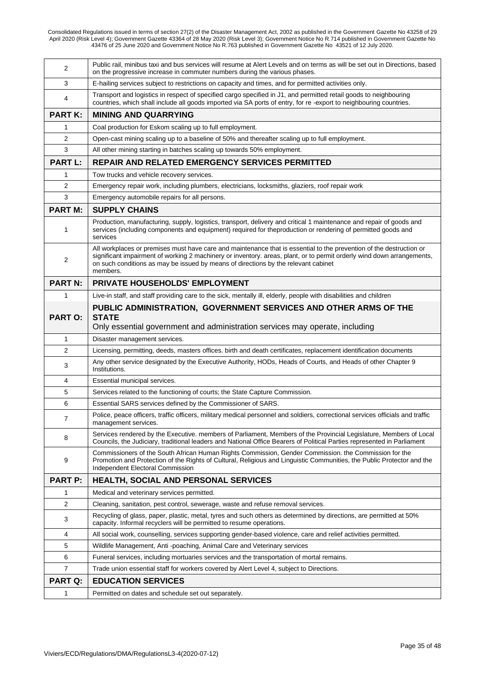| 2              | Public rail, minibus taxi and bus services will resume at Alert Levels and on terms as will be set out in Directions, based<br>on the progressive increase in commuter numbers during the various phases.                                                                                                                                       |
|----------------|-------------------------------------------------------------------------------------------------------------------------------------------------------------------------------------------------------------------------------------------------------------------------------------------------------------------------------------------------|
| 3              | E-hailing services subject to restrictions on capacity and times, and for permitted activities only.                                                                                                                                                                                                                                            |
| 4              | Transport and logistics in respect of specified cargo specified in J1, and permitted retail goods to neighbouring<br>countries, which shall include all goods imported via SA ports of entry, for re-export to neighbouring countries.                                                                                                          |
| <b>PART K:</b> | <b>MINING AND QUARRYING</b>                                                                                                                                                                                                                                                                                                                     |
| 1              | Coal production for Eskom scaling up to full employment.                                                                                                                                                                                                                                                                                        |
| 2              | Open-cast mining scaling up to a baseline of 50% and thereafter scaling up to full employment.                                                                                                                                                                                                                                                  |
| 3              | All other mining starting in batches scaling up towards 50% employment.                                                                                                                                                                                                                                                                         |
| <b>PART L:</b> | <b>REPAIR AND RELATED EMERGENCY SERVICES PERMITTED</b>                                                                                                                                                                                                                                                                                          |
| 1              | Tow trucks and vehicle recovery services.                                                                                                                                                                                                                                                                                                       |
| 2              | Emergency repair work, including plumbers, electricians, locksmiths, glaziers, roof repair work                                                                                                                                                                                                                                                 |
| 3              | Emergency automobile repairs for all persons.                                                                                                                                                                                                                                                                                                   |
| <b>PART M:</b> | <b>SUPPLY CHAINS</b>                                                                                                                                                                                                                                                                                                                            |
| 1              | Production, manufacturing, supply, logistics, transport, delivery and critical 1 maintenance and repair of goods and<br>services (including components and equipment) required for theproduction or rendering of permitted goods and<br>services                                                                                                |
| $\overline{2}$ | All workplaces or premises must have care and maintenance that is essential to the prevention of the destruction or<br>significant impairment of working 2 machinery or inventory. areas, plant, or to permit orderly wind down arrangements,<br>on such conditions as may be issued by means of directions by the relevant cabinet<br>members. |
| <b>PART N:</b> | <b>PRIVATE HOUSEHOLDS' EMPLOYMENT</b>                                                                                                                                                                                                                                                                                                           |
| $\mathbf{1}$   | Live-in staff, and staff providing care to the sick, mentally ill, elderly, people with disabilities and children                                                                                                                                                                                                                               |
| <b>PART O:</b> | PUBLIC ADMINISTRATION, GOVERNMENT SERVICES AND OTHER ARMS OF THE<br><b>STATE</b><br>Only essential government and administration services may operate, including                                                                                                                                                                                |
| 1              | Disaster management services.                                                                                                                                                                                                                                                                                                                   |
| 2              | Licensing, permitting, deeds, masters offices. birth and death certificates, replacement identification documents                                                                                                                                                                                                                               |
| 3              | Any other service designated by the Executive Authority, HODs, Heads of Courts, and Heads of other Chapter 9<br>Institutions.                                                                                                                                                                                                                   |
| 4              | Essential municipal services.                                                                                                                                                                                                                                                                                                                   |
| 5              | Services related to the functioning of courts; the State Capture Commission.                                                                                                                                                                                                                                                                    |
| 6              | Essential SARS services defined by the Commissioner of SARS.                                                                                                                                                                                                                                                                                    |
| 7              | Police, peace officers, traffic officers, military medical personnel and soldiers, correctional services officials and traffic<br>management services.                                                                                                                                                                                          |
| 8              | Services rendered by the Executive. members of Parliament, Members of the Provincial Legislature, Members of Local<br>Councils, the Judiciary, traditional leaders and National Office Bearers of Political Parties represented in Parliament                                                                                                   |
| 9              | Commissioners of the South African Human Rights Commission, Gender Commission. the Commission for the<br>Promotion and Protection of the Rights of Cultural, Religious and Linguistic Communities, the Public Protector and the<br>Independent Electoral Commission                                                                             |
| <b>PART P:</b> | <b>HEALTH, SOCIAL AND PERSONAL SERVICES</b>                                                                                                                                                                                                                                                                                                     |
| 1              | Medical and veterinary services permitted.                                                                                                                                                                                                                                                                                                      |
| $\overline{2}$ | Cleaning, sanitation, pest control, sewerage, waste and refuse removal services.                                                                                                                                                                                                                                                                |
| 3              | Recycling of glass, paper, plastic, metal, tyres and such others as determined by directions, are permitted at 50%<br>capacity. Informal recyclers will be permitted to resume operations.                                                                                                                                                      |
| 4              | All social work, counselling, services supporting gender-based violence, care and relief activities permitted.                                                                                                                                                                                                                                  |
| 5              | Wildlife Management, Anti -poaching, Animal Care and Veterinary services                                                                                                                                                                                                                                                                        |
| 6              | Funeral services, including mortuaries services and the transportation of mortal remains.                                                                                                                                                                                                                                                       |
| 7              | Trade union essential staff for workers covered by Alert Level 4, subject to Directions.                                                                                                                                                                                                                                                        |
| <b>PART Q:</b> | <b>EDUCATION SERVICES</b>                                                                                                                                                                                                                                                                                                                       |
| 1              | Permitted on dates and schedule set out separately.                                                                                                                                                                                                                                                                                             |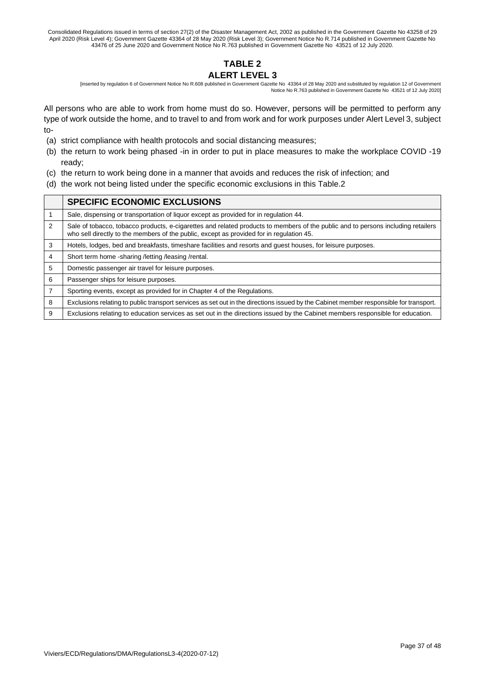## **TABLE 2 ALERT LEVEL 3**

[inserted by regulation 6 of Government Notice No R.608 published in Government Gazette No 43364 of 28 May 2020 and substituted by regulation 12 of Government Notice No R.763 published in Government Gazette No 43521 of 12 July 2020]

All persons who are able to work from home must do so. However, persons will be permitted to perform any type of work outside the home, and to travel to and from work and for work purposes under Alert Level 3, subject to-

- (a) strict compliance with health protocols and social distancing measures;
- (b) the return to work being phased -in in order to put in place measures to make the workplace COVID -19 ready;
- (c) the return to work being done in a manner that avoids and reduces the risk of infection; and
- (d) the work not being listed under the specific economic exclusions in this Table.2

|                | <b>SPECIFIC ECONOMIC EXCLUSIONS</b>                                                                                                                                                                                          |
|----------------|------------------------------------------------------------------------------------------------------------------------------------------------------------------------------------------------------------------------------|
|                | Sale, dispensing or transportation of liquor except as provided for in regulation 44.                                                                                                                                        |
| $\mathfrak{p}$ | Sale of tobacco, tobacco products, e-cigarettes and related products to members of the public and to persons including retailers<br>who sell directly to the members of the public, except as provided for in regulation 45. |
| 3              | Hotels, lodges, bed and breakfasts, timeshare facilities and resorts and guest houses, for leisure purposes.                                                                                                                 |
| 4              | Short term home -sharing / letting / leasing / rental.                                                                                                                                                                       |
| 5              | Domestic passenger air travel for leisure purposes.                                                                                                                                                                          |
| 6              | Passenger ships for leisure purposes.                                                                                                                                                                                        |
| 7              | Sporting events, except as provided for in Chapter 4 of the Regulations.                                                                                                                                                     |
| 8              | Exclusions relating to public transport services as set out in the directions issued by the Cabinet member responsible for transport.                                                                                        |
| 9              | Exclusions relating to education services as set out in the directions issued by the Cabinet members responsible for education.                                                                                              |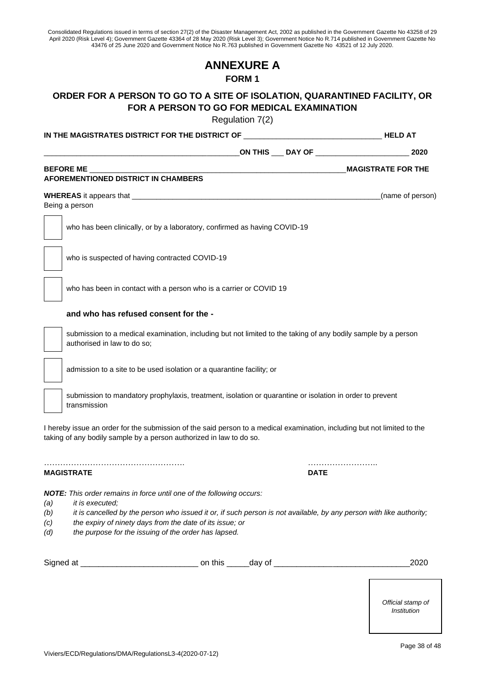## **ANNEXURE A FORM 1**

## **ORDER FOR A PERSON TO GO TO A SITE OF ISOLATION, QUARANTINED FACILITY, OR FOR A PERSON TO GO FOR MEDICAL EXAMINATION**

Regulation 7(2)

|            |                                                                                                                                                                                                 | Regulation 7(2)  |                                              |                                          |
|------------|-------------------------------------------------------------------------------------------------------------------------------------------------------------------------------------------------|------------------|----------------------------------------------|------------------------------------------|
|            | IN THE MAGISTRATES DISTRICT FOR THE DISTRICT OF                                                                                                                                                 |                  |                                              | <b>Example 19 AT A RELD AT A RELD AT</b> |
|            |                                                                                                                                                                                                 |                  | _ON THIS ____ DAY OF _______________________ | 2020                                     |
|            | <b>BEFORE ME</b>                                                                                                                                                                                |                  |                                              | <b>MAGISTRATE FOR THE</b>                |
|            | AFOREMENTIONED DISTRICT IN CHAMBERS                                                                                                                                                             |                  |                                              |                                          |
|            |                                                                                                                                                                                                 |                  |                                              | (name of person)                         |
|            | Being a person                                                                                                                                                                                  |                  |                                              |                                          |
|            | who has been clinically, or by a laboratory, confirmed as having COVID-19                                                                                                                       |                  |                                              |                                          |
|            | who is suspected of having contracted COVID-19                                                                                                                                                  |                  |                                              |                                          |
|            | who has been in contact with a person who is a carrier or COVID 19                                                                                                                              |                  |                                              |                                          |
|            | and who has refused consent for the -                                                                                                                                                           |                  |                                              |                                          |
|            | submission to a medical examination, including but not limited to the taking of any bodily sample by a person<br>authorised in law to do so;                                                    |                  |                                              |                                          |
|            | admission to a site to be used isolation or a quarantine facility; or                                                                                                                           |                  |                                              |                                          |
|            | submission to mandatory prophylaxis, treatment, isolation or quarantine or isolation in order to prevent<br>transmission                                                                        |                  |                                              |                                          |
|            | I hereby issue an order for the submission of the said person to a medical examination, including but not limited to the<br>taking of any bodily sample by a person authorized in law to do so. |                  |                                              |                                          |
|            | <b>MAGISTRATE</b>                                                                                                                                                                               |                  | <b>DATE</b>                                  |                                          |
|            | <b>NOTE:</b> This order remains in force until one of the following occurs:                                                                                                                     |                  |                                              |                                          |
| (a)<br>(b) | it is executed:<br>it is cancelled by the person who issued it or, if such person is not available, by any person with like authority;                                                          |                  |                                              |                                          |
| (c)        | the expiry of ninety days from the date of its issue; or                                                                                                                                        |                  |                                              |                                          |
| (d)        | the purpose for the issuing of the order has lapsed.                                                                                                                                            |                  |                                              |                                          |
|            | Signed at                                                                                                                                                                                       | on this $\equiv$ | day of _____________________________         | 2020                                     |
|            |                                                                                                                                                                                                 |                  |                                              |                                          |

*Official stamp of Institution*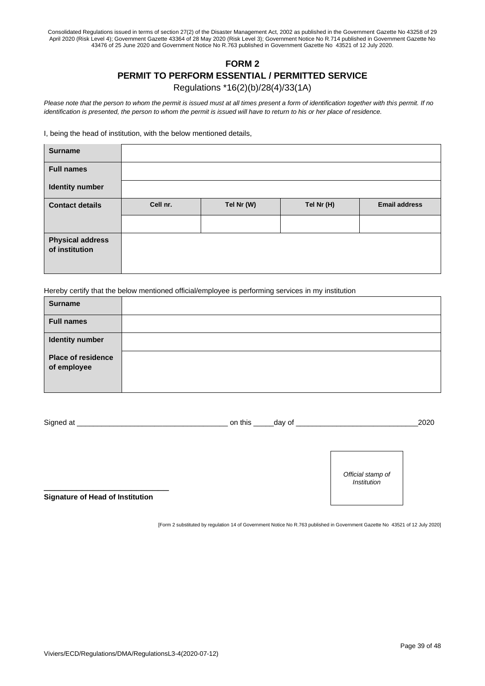## **FORM 2 PERMIT TO PERFORM ESSENTIAL / PERMITTED SERVICE**  Regulations \*16(2)(b)/28(4)/33(1A)

*Please note that the person to whom the permit is issued must at all times present a form of identification together with this permit. If no identification is presented, the person to whom the permit is issued will have to return to his or her place of residence.*

I, being the head of institution, with the below mentioned details,

| <b>Surname</b>                            |          |            |            |                      |
|-------------------------------------------|----------|------------|------------|----------------------|
| <b>Full names</b>                         |          |            |            |                      |
| <b>Identity number</b>                    |          |            |            |                      |
| <b>Contact details</b>                    | Cell nr. | Tel Nr (W) | Tel Nr (H) | <b>Email address</b> |
|                                           |          |            |            |                      |
| <b>Physical address</b><br>of institution |          |            |            |                      |

Hereby certify that the below mentioned official/employee is performing services in my institution

| <b>Surname</b>                           |  |
|------------------------------------------|--|
| <b>Full names</b>                        |  |
| <b>Identity number</b>                   |  |
| <b>Place of residence</b><br>of employee |  |

| Signed at | on this<br>_day of |                                  |  |  |
|-----------|--------------------|----------------------------------|--|--|
|           |                    |                                  |  |  |
|           |                    |                                  |  |  |
|           |                    |                                  |  |  |
|           |                    | Official stamp of<br>Institution |  |  |

**Signature of Head of Institution** 

[Form 2 substituted by regulation 14 of Government Notice No R.763 published in Government Gazette No 43521 of 12 July 2020]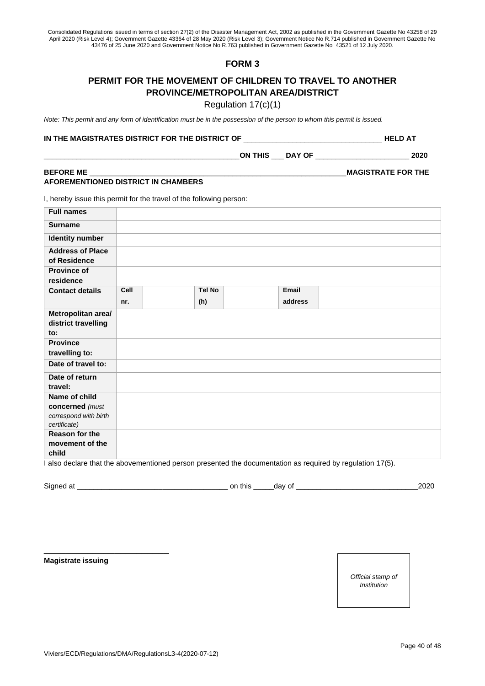## **FORM 3**

## **PERMIT FOR THE MOVEMENT OF CHILDREN TO TRAVEL TO ANOTHER PROVINCE/METROPOLITAN AREA/DISTRICT**

Regulation 17(c)(1)

*Note: This permit and any form of identification must be in the possession of the person to whom this permit is issued.*

#### **IN THE MAGISTRATES DISTRICT FOR THE DISTRICT OF** \_\_\_\_\_\_\_\_\_\_\_\_\_\_\_\_\_\_\_\_\_\_\_\_\_\_\_\_\_\_\_\_\_\_ **HELD AT**

| பட<br>ግሊ<br>אור<br>____ | $\sim$ $\sim$ $\sim$ $\sim$ $\sim$ | . |
|-------------------------|------------------------------------|---|
|                         |                                    |   |

#### **BEFORE ME** \_\_\_\_\_\_\_\_\_\_\_\_\_\_\_\_\_\_\_\_\_\_\_\_\_\_\_\_\_\_\_\_\_\_\_\_\_\_\_\_\_\_\_\_\_\_\_\_\_\_\_\_\_\_\_\_\_\_\_\_\_\_\_**MAGISTRATE FOR THE AFOREMENTIONED DISTRICT IN CHAMBERS**

I, hereby issue this permit for the travel of the following person:

| <b>Full names</b>                         |      |               |         |                                                                                                          |
|-------------------------------------------|------|---------------|---------|----------------------------------------------------------------------------------------------------------|
| <b>Surname</b>                            |      |               |         |                                                                                                          |
| <b>Identity number</b>                    |      |               |         |                                                                                                          |
| <b>Address of Place</b><br>of Residence   |      |               |         |                                                                                                          |
| <b>Province of</b><br>residence           |      |               |         |                                                                                                          |
| <b>Contact details</b>                    | Cell | <b>Tel No</b> | Email   |                                                                                                          |
|                                           | nr.  | (h)           | address |                                                                                                          |
| Metropolitan area/<br>district travelling |      |               |         |                                                                                                          |
| to:                                       |      |               |         |                                                                                                          |
| <b>Province</b>                           |      |               |         |                                                                                                          |
| travelling to:                            |      |               |         |                                                                                                          |
| Date of travel to:                        |      |               |         |                                                                                                          |
| Date of return                            |      |               |         |                                                                                                          |
| travel:                                   |      |               |         |                                                                                                          |
| Name of child                             |      |               |         |                                                                                                          |
| concerned (must                           |      |               |         |                                                                                                          |
| correspond with birth<br>certificate)     |      |               |         |                                                                                                          |
| Reason for the                            |      |               |         |                                                                                                          |
| movement of the                           |      |               |         |                                                                                                          |
| child                                     |      |               |         |                                                                                                          |
|                                           |      |               |         | also declare that the abovementioned person presented the documentation as required by regulation 17(5). |

Signed at \_\_\_\_\_\_\_\_\_\_\_\_\_\_\_\_\_\_\_\_\_\_\_\_\_\_\_\_\_\_\_\_\_\_\_\_\_ on this \_\_\_\_\_day of \_\_\_\_\_\_\_\_\_\_\_\_\_\_\_\_\_\_\_\_\_\_\_\_\_\_\_\_\_\_2020

**Magistrate issuing** 

\_\_\_\_\_\_\_\_\_\_\_\_\_\_\_\_\_\_\_\_\_\_\_

*Official stamp of Institution*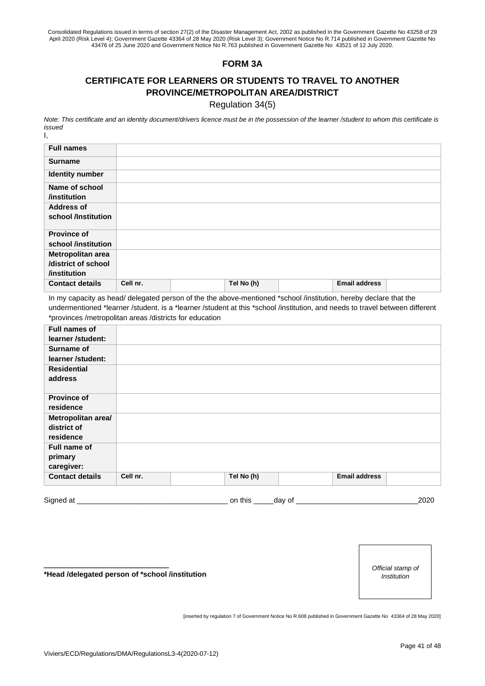## **FORM 3A**

## **CERTIFICATE FOR LEARNERS OR STUDENTS TO TRAVEL TO ANOTHER PROVINCE/METROPOLITAN AREA/DISTRICT**

Regulation 34(5)

*Note: This certificate and an identity document/drivers licence must be in the possession of the learner /student to whom this certificate is issued* I,

| <b>Full names</b>      |          |            |                      |  |
|------------------------|----------|------------|----------------------|--|
| <b>Surname</b>         |          |            |                      |  |
| <b>Identity number</b> |          |            |                      |  |
| Name of school         |          |            |                      |  |
| <i>l</i> institution   |          |            |                      |  |
| <b>Address of</b>      |          |            |                      |  |
| school /Institution    |          |            |                      |  |
|                        |          |            |                      |  |
| <b>Province of</b>     |          |            |                      |  |
| school /institution    |          |            |                      |  |
| Metropolitan area      |          |            |                      |  |
| /district of school    |          |            |                      |  |
| /institution           |          |            |                      |  |
| <b>Contact details</b> | Cell nr. | Tel No (h) | <b>Email address</b> |  |

In my capacity as head/ delegated person of the the above-mentioned \*school /institution, hereby declare that the undermentioned \*learner /student. is a \*learner /student at this \*school /institution, and needs to travel between different \*provinces /metropolitan areas /districts for education

| Full names of          |          |            |                      |  |
|------------------------|----------|------------|----------------------|--|
| learner /student:      |          |            |                      |  |
| <b>Surname of</b>      |          |            |                      |  |
| learner /student:      |          |            |                      |  |
| <b>Residential</b>     |          |            |                      |  |
| address                |          |            |                      |  |
|                        |          |            |                      |  |
| <b>Province of</b>     |          |            |                      |  |
| residence              |          |            |                      |  |
| Metropolitan area/     |          |            |                      |  |
| district of            |          |            |                      |  |
| residence              |          |            |                      |  |
| Full name of           |          |            |                      |  |
| primary                |          |            |                      |  |
| caregiver:             |          |            |                      |  |
| <b>Contact details</b> | Cell nr. | Tel No (h) | <b>Email address</b> |  |
|                        |          |            |                      |  |

Signed at \_\_\_\_\_\_\_\_\_\_\_\_\_\_\_\_\_\_\_\_\_\_\_\_\_\_\_\_\_\_\_\_\_\_\_\_\_ on this \_\_\_\_\_day of \_\_\_\_\_\_\_\_\_\_\_\_\_\_\_\_\_\_\_\_\_\_\_\_\_\_\_\_\_\_2020

**\*Head /delegated person of \*school /institution**

\_\_\_\_\_\_\_\_\_\_\_\_\_\_\_\_\_\_\_\_\_\_\_

*Official stamp of Institution*

[inserted by regulation 7 of Government Notice No R.608 published in Government Gazette No 43364 of 28 May 2020]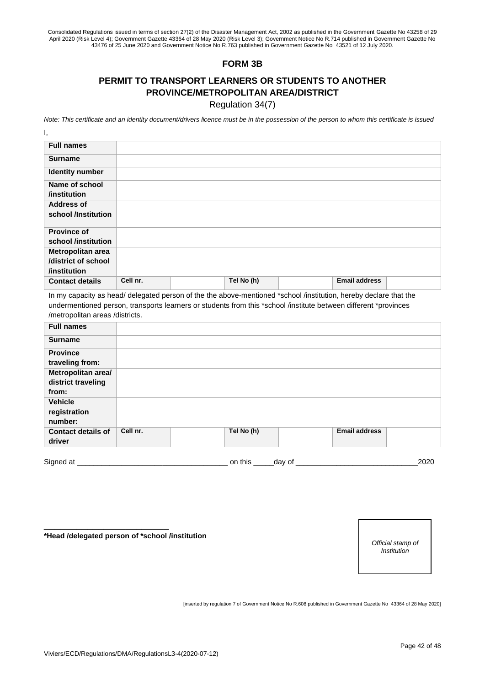## **FORM 3B**

## **PERMIT TO TRANSPORT LEARNERS OR STUDENTS TO ANOTHER PROVINCE/METROPOLITAN AREA/DISTRICT**

Regulation 34(7)

*Note: This certificate and an identity document/drivers licence must be in the possession of the person to whom this certificate is issued* I,

| <b>Full names</b>      |          |            |                      |  |
|------------------------|----------|------------|----------------------|--|
| <b>Surname</b>         |          |            |                      |  |
| <b>Identity number</b> |          |            |                      |  |
| Name of school         |          |            |                      |  |
| <i>l</i> institution   |          |            |                      |  |
| <b>Address of</b>      |          |            |                      |  |
| school /Institution    |          |            |                      |  |
| <b>Province of</b>     |          |            |                      |  |
| school /institution    |          |            |                      |  |
| Metropolitan area      |          |            |                      |  |
| /district of school    |          |            |                      |  |
| /institution           |          |            |                      |  |
| <b>Contact details</b> | Cell nr. | Tel No (h) | <b>Email address</b> |  |

In my capacity as head/ delegated person of the the above-mentioned \*school /institution, hereby declare that the undermentioned person, transports learners or students from this \*school /institute between different \*provinces /metropolitan areas /districts.

| <b>Full names</b>                                 |          |            |                      |  |
|---------------------------------------------------|----------|------------|----------------------|--|
| <b>Surname</b>                                    |          |            |                      |  |
| <b>Province</b><br>traveling from:                |          |            |                      |  |
| Metropolitan area/<br>district traveling<br>from: |          |            |                      |  |
| <b>Vehicle</b><br>registration<br>number:         |          |            |                      |  |
| <b>Contact details of</b><br>driver               | Cell nr. | Tel No (h) | <b>Email address</b> |  |

Signed at \_\_\_\_\_\_\_\_\_\_\_\_\_\_\_\_\_\_\_\_\_\_\_\_\_\_\_\_\_\_\_\_\_\_\_\_\_ on this \_\_\_\_\_day of \_\_\_\_\_\_\_\_\_\_\_\_\_\_\_\_\_\_\_\_\_\_\_\_\_\_\_\_\_\_2020

**\*Head /delegated person of \*school /institution**

\_\_\_\_\_\_\_\_\_\_\_\_\_\_\_\_\_\_\_\_\_\_\_

*Official stamp of Institution*

[inserted by regulation 7 of Government Notice No R.608 published in Government Gazette No 43364 of 28 May 2020]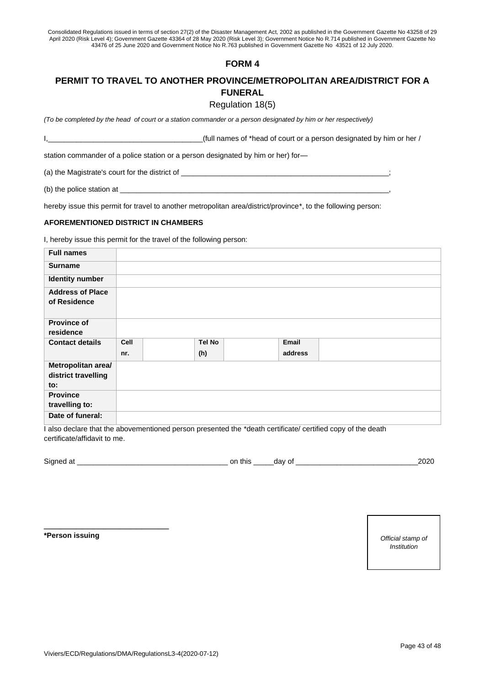## **FORM 4**

## **PERMIT TO TRAVEL TO ANOTHER PROVINCE/METROPOLITAN AREA/DISTRICT FOR A FUNERAL**

#### Regulation 18(5)

*(To be completed by the head of court or a station commander or a person designated by him or her respectively)*

I,\_\_\_\_\_\_\_\_\_\_\_\_\_\_\_\_\_\_\_\_\_\_\_\_\_\_\_\_\_\_\_\_\_\_\_\_\_\_(full names of \*head of court or a person designated by him or her /

station commander of a police station or a person designated by him or her) for—

(a) the Magistrate's court for the district of \_

(b) the police station at  $\equiv$ 

hereby issue this permit for travel to another metropolitan area/district/province\*, to the following person:

#### **AFOREMENTIONED DISTRICT IN CHAMBERS**

I, hereby issue this permit for the travel of the following person:

| <b>Full names</b>                                                                                                                                                                                                                                           |      |        |         |                                                                                  |
|-------------------------------------------------------------------------------------------------------------------------------------------------------------------------------------------------------------------------------------------------------------|------|--------|---------|----------------------------------------------------------------------------------|
| <b>Surname</b>                                                                                                                                                                                                                                              |      |        |         |                                                                                  |
| <b>Identity number</b>                                                                                                                                                                                                                                      |      |        |         |                                                                                  |
| <b>Address of Place</b>                                                                                                                                                                                                                                     |      |        |         |                                                                                  |
| of Residence                                                                                                                                                                                                                                                |      |        |         |                                                                                  |
| <b>Province of</b><br>residence                                                                                                                                                                                                                             |      |        |         |                                                                                  |
| <b>Contact details</b>                                                                                                                                                                                                                                      | Cell | Tel No | Email   |                                                                                  |
|                                                                                                                                                                                                                                                             | nr.  | (h)    | address |                                                                                  |
| Metropolitan area/                                                                                                                                                                                                                                          |      |        |         |                                                                                  |
| district travelling                                                                                                                                                                                                                                         |      |        |         |                                                                                  |
| to:                                                                                                                                                                                                                                                         |      |        |         |                                                                                  |
| <b>Province</b>                                                                                                                                                                                                                                             |      |        |         |                                                                                  |
| travelling to:                                                                                                                                                                                                                                              |      |        |         |                                                                                  |
| Date of funeral:<br>$\mathbf{r} = \mathbf{r}$ , and the second contract of the second contract of the second contract of the second contract of the second contract of the second contract of the second contract of the second contract of the second cont |      |        |         | الموارد والمتلوث المستنقل والمتحدث والمتعود المتعارض والمتحدث والمتناور والمتحدث |

I also declare that the abovementioned person presented the \*death certificate/ certified copy of the death certificate/affidavit to me.

| Signed<br>n.<br>a | this<br>Ωt<br>י ירי<br>ud | ≀רי∩ |
|-------------------|---------------------------|------|
|-------------------|---------------------------|------|

**\*Person issuing** *Official stamp of* 

\_\_\_\_\_\_\_\_\_\_\_\_\_\_\_\_\_\_\_\_\_\_\_

*Institution*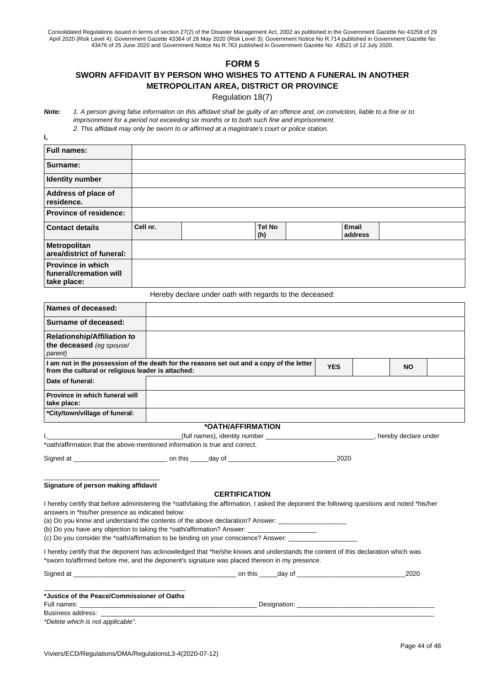## **FORM 5**

## **SWORN AFFIDAVIT BY PERSON WHO WISHES TO ATTEND A FUNERAL IN ANOTHER METROPOLITAN AREA, DISTRICT OR PROVINCE**

Regulation 18(7)

*Note: 1. A person giving false information on this affidavit shall be guilty of an offence and, on conviction, liable to a fine or to imprisonment for a period not exceeding six months or to both such fine and imprisonment. 2. This affidavit may only be sworn to or affirmed at a magistrate's court or police station.*

**I,** 

| <b>Full names:</b>                                                |          |   |                      |                  |
|-------------------------------------------------------------------|----------|---|----------------------|------------------|
| Surname:                                                          |          |   |                      |                  |
| <b>Identity number</b>                                            |          |   |                      |                  |
| Address of place of<br>residence.                                 |          |   |                      |                  |
| <b>Province of residence:</b>                                     |          |   |                      |                  |
| <b>Contact details</b>                                            | Cell nr. |   | <b>Tel No</b><br>(h) | Email<br>address |
| Metropolitan<br>area/district of funeral:                         |          |   |                      |                  |
| <b>Province in which</b><br>funeral/cremation will<br>take place: |          |   |                      |                  |
|                                                                   |          | . |                      |                  |

Hereby declare under oath with regards to the deceased:

| Names of deceased:                                                          |  |                                                                                          |            |  |           |  |
|-----------------------------------------------------------------------------|--|------------------------------------------------------------------------------------------|------------|--|-----------|--|
| Surname of deceased:                                                        |  |                                                                                          |            |  |           |  |
| <b>Relationship/Affiliation to</b><br>the deceased (eg spouse/<br>parent)   |  |                                                                                          |            |  |           |  |
| from the cultural or religious leader is attached:                          |  | I am not in the possession of the death for the reasons set out and a copy of the letter | <b>YES</b> |  | <b>NO</b> |  |
| Date of funeral:                                                            |  |                                                                                          |            |  |           |  |
| Province in which funeral will<br>take place:                               |  |                                                                                          |            |  |           |  |
| *City/town/village of funeral:                                              |  |                                                                                          |            |  |           |  |
|                                                                             |  | *OATH/AFFIRMATION                                                                        |            |  |           |  |
| hereby declare under                                                        |  |                                                                                          |            |  |           |  |
| *oath/affirmation that the above-mentioned information is true and correct. |  |                                                                                          |            |  |           |  |
|                                                                             |  |                                                                                          | 2020       |  |           |  |

\_\_\_\_\_\_\_\_\_\_\_\_\_\_\_\_\_\_\_\_\_\_\_\_\_\_\_\_\_\_\_\_ **Signature of person making affidavit**

#### **CERTIFICATION**

| I hereby certify that before administering the *oath/taking the affirmation, I asked the deponent the following questions and noted *his/her |
|----------------------------------------------------------------------------------------------------------------------------------------------|
| answers in *his/her presence as indicated below:                                                                                             |

(a) Do you know and understand the contents of the above declaration? Answer: \_\_

(b) Do you have any objection to taking the \*oath/affirmation? Answer: \_

(c) Do you consider the \*oath/affirmation to be binding on your conscience? Answer: \_

I hereby certify that the deponent has acknowledged that \*he/she knows and understands the content of this declaration which was \*sworn to/affirmed before me, and the deponent's signature was placed thereon in my presence.

| Signed at                                   | on this<br>dav of | 2020 |
|---------------------------------------------|-------------------|------|
| *Justice of the Peace/Commissioner of Oaths |                   |      |
| Full names:                                 | Designation:      |      |
| Business address:                           |                   |      |

*\*Delete which is not applicable".*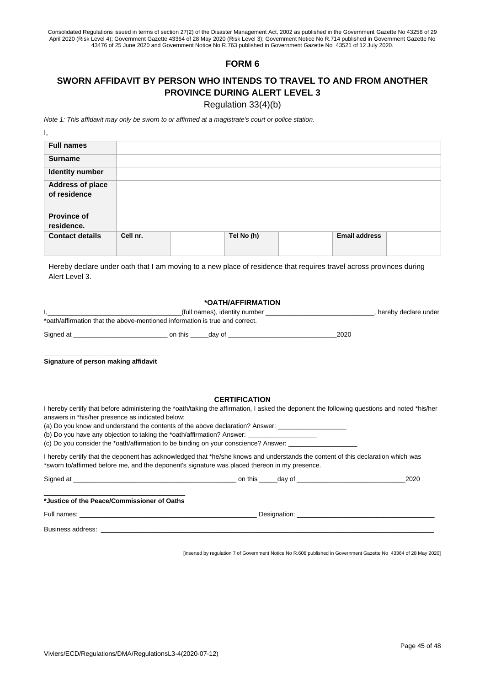## **FORM 6**

## **SWORN AFFIDAVIT BY PERSON WHO INTENDS TO TRAVEL TO AND FROM ANOTHER PROVINCE DURING ALERT LEVEL 3**

Regulation 33(4)(b)

*Note 1: This affidavit may only be sworn to or affirmed at a magistrate's court or police station.*

| <b>Full names</b>                       |          |            |                      |  |
|-----------------------------------------|----------|------------|----------------------|--|
| <b>Surname</b>                          |          |            |                      |  |
| <b>Identity number</b>                  |          |            |                      |  |
| <b>Address of place</b><br>of residence |          |            |                      |  |
| <b>Province of</b><br>residence.        |          |            |                      |  |
| <b>Contact details</b>                  | Cell nr. | Tel No (h) | <b>Email address</b> |  |

Hereby declare under oath that I am moving to a new place of residence that requires travel across provinces during Alert Level 3.

#### **\*OATH/AFFIRMATION**

|                                                                             |         | (full names), identity number |      | hereby declare under |
|-----------------------------------------------------------------------------|---------|-------------------------------|------|----------------------|
| *oath/affirmation that the above-mentioned information is true and correct. |         |                               |      |                      |
| Signed at                                                                   | on this | dav of                        | 2020 |                      |

\_\_\_\_\_\_\_\_\_\_\_\_\_\_\_\_\_\_\_\_\_\_\_\_\_\_\_\_\_\_\_\_ **Signature of person making affidavit**

#### **CERTIFICATION**

I hereby certify that before administering the \*oath/taking the affirmation, I asked the deponent the following questions and noted \*his/her answers in \*his/her presence as indicated below:

(a) Do you know and understand the contents of the above declaration? Answer: \_

(b) Do you have any objection to taking the \*oath/affirmation? Answer:

(c) Do you consider the \*oath/affirmation to be binding on your conscience? Answer:

I hereby certify that the deponent has acknowledged that \*he/she knows and understands the content of this declaration which was \*sworn to/affirmed before me, and the deponent's signature was placed thereon in my presence.

| Signed at<br><u> 1989 - Johann Stoff, deutscher Stoff, der Stoff, der Stoff, der Stoff, der Stoff, der Stoff, der Stoff, der S</u> | on this _____day of ______________________                                                                                                                                                                                           | 2020 |
|------------------------------------------------------------------------------------------------------------------------------------|--------------------------------------------------------------------------------------------------------------------------------------------------------------------------------------------------------------------------------------|------|
| *Justice of the Peace/Commissioner of Oaths                                                                                        |                                                                                                                                                                                                                                      |      |
|                                                                                                                                    | Designation: <u>contract and contract and contract and contract and contract and contract and contract and contract and contract and contract and contract and contract and contract and contract and contract and contract and </u> |      |
| Business address:                                                                                                                  |                                                                                                                                                                                                                                      |      |

[inserted by regulation 7 of Government Notice No R.608 published in Government Gazette No 43364 of 28 May 2020]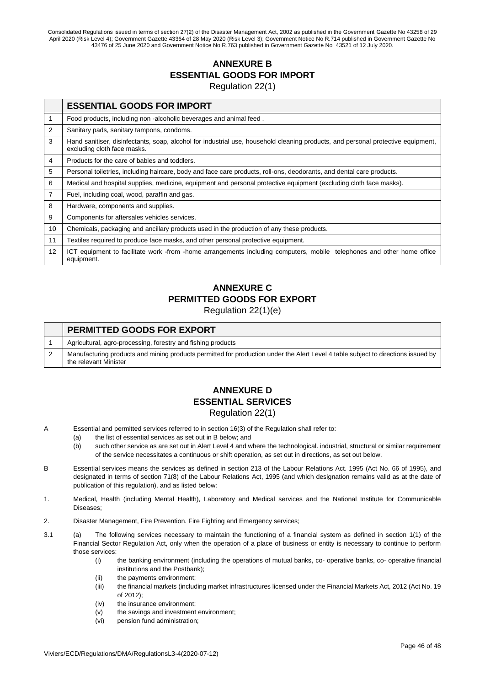## **ANNEXURE B ESSENTIAL GOODS FOR IMPORT** Regulation 22(1)

|    | <b>ESSENTIAL GOODS FOR IMPORT</b>                                                                                                                               |
|----|-----------------------------------------------------------------------------------------------------------------------------------------------------------------|
| 1  | Food products, including non-alcoholic beverages and animal feed.                                                                                               |
| 2  | Sanitary pads, sanitary tampons, condoms.                                                                                                                       |
| 3  | Hand sanitiser, disinfectants, soap, alcohol for industrial use, household cleaning products, and personal protective equipment,<br>excluding cloth face masks. |
| 4  | Products for the care of babies and toddlers.                                                                                                                   |
| 5  | Personal toiletries, including haircare, body and face care products, roll-ons, deodorants, and dental care products.                                           |
| 6  | Medical and hospital supplies, medicine, equipment and personal protective equipment (excluding cloth face masks).                                              |
| 7  | Fuel, including coal, wood, paraffin and gas.                                                                                                                   |
| 8  | Hardware, components and supplies.                                                                                                                              |
| 9  | Components for aftersales vehicles services.                                                                                                                    |
| 10 | Chemicals, packaging and ancillary products used in the production of any these products.                                                                       |
| 11 | Textiles required to produce face masks, and other personal protective equipment.                                                                               |
| 12 | ICT equipment to facilitate work -from -home arrangements including computers, mobile telephones and other home office<br>equipment.                            |

# **ANNEXURE C PERMITTED GOODS FOR EXPORT**

Regulation 22(1)(e)

| <b>PERMITTED GOODS FOR EXPORT</b>                                                                                                                          |
|------------------------------------------------------------------------------------------------------------------------------------------------------------|
| Agricultural, agro-processing, forestry and fishing products                                                                                               |
| Manufacturing products and mining products permitted for production under the Alert Level 4 table subject to directions issued by<br>the relevant Minister |

## **ANNEXURE D ESSENTIAL SERVICES** Regulation 22(1)

- A Essential and permitted services referred to in section 16(3) of the Regulation shall refer to:
	- (a) the list of essential services as set out in B below; and
	- (b) such other service as are set out in Alert Level 4 and where the technological. industrial, structural or similar requirement of the service necessitates a continuous or shift operation, as set out in directions, as set out below.
- B Essential services means the services as defined in section 213 of the Labour Relations Act. 1995 (Act No. 66 of 1995), and designated in terms of section 71(8) of the Labour Relations Act, 1995 (and which designation remains valid as at the date of publication of this regulation), and as listed below:
- 1. Medical, Health (including Mental Health), Laboratory and Medical services and the National Institute for Communicable Diseases;
- 2. Disaster Management, Fire Prevention. Fire Fighting and Emergency services;
- 3.1 (a) The following services necessary to maintain the functioning of a financial system as defined in section 1(1) of the Financial Sector Regulation Act, only when the operation of a place of business or entity is necessary to continue to perform those services:
	- (i) the banking environment (including the operations of mutual banks, co- operative banks, co- operative financial institutions and the Postbank);
	- (ii) the payments environment;
	- (iii) the financial markets (including market infrastructures licensed under the Financial Markets Act, 2012 (Act No. 19 of 2012);
	- (iv) the insurance environment;
	- (v) the savings and investment environment;
	- (vi) pension fund administration;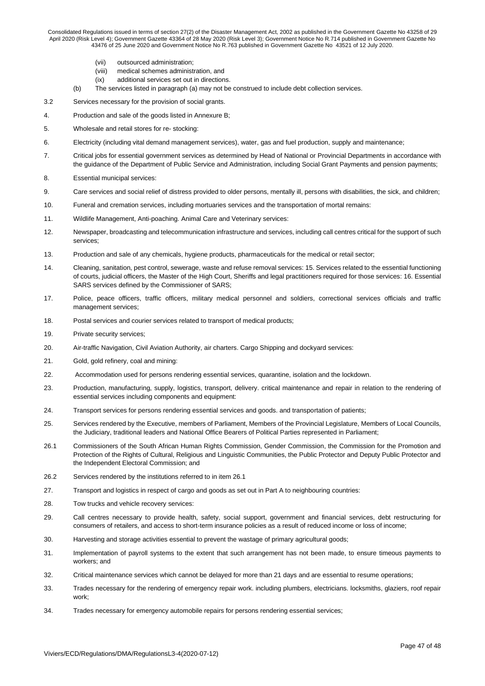- (vii) outsourced administration;
- (viii) medical schemes administration, and
- (ix) additional services set out in directions.
- (b) The services listed in paragraph (a) may not be construed to include debt collection services.
- 3.2 Services necessary for the provision of social grants.
- 4. Production and sale of the goods listed in Annexure B;
- 5. Wholesale and retail stores for re- stocking:
- 6. Electricity (including vital demand management services), water, gas and fuel production, supply and maintenance;
- 7. Critical jobs for essential government services as determined by Head of National or Provincial Departments in accordance with the guidance of the Department of Public Service and Administration, including Social Grant Payments and pension payments;
- 8. Essential municipal services:
- 9. Care services and social relief of distress provided to older persons, mentally ill, persons with disabilities, the sick, and children;
- 10. Funeral and cremation services, including mortuaries services and the transportation of mortal remains:
- 11. Wildlife Management, Anti-poaching. Animal Care and Veterinary services:
- 12. Newspaper, broadcasting and telecommunication infrastructure and services, including call centres critical for the support of such services;
- 13. Production and sale of any chemicals, hygiene products, pharmaceuticals for the medical or retail sector;
- 14. Cleaning, sanitation, pest control, sewerage, waste and refuse removal services: 15. Services related to the essential functioning of courts, judicial officers, the Master of the High Court, Sheriffs and legal practitioners required for those services: 16. Essential SARS services defined by the Commissioner of SARS;
- 17. Police, peace officers, traffic officers, military medical personnel and soldiers, correctional services officials and traffic management services;
- 18. Postal services and courier services related to transport of medical products;
- 19. Private security services;
- 20. Air-traffic Navigation, Civil Aviation Authority, air charters. Cargo Shipping and dockyard services:
- 21. Gold, gold refinery, coal and mining:
- 22. Accommodation used for persons rendering essential services, quarantine, isolation and the lockdown.
- 23. Production, manufacturing, supply, logistics, transport, delivery. critical maintenance and repair in relation to the rendering of essential services including components and equipment:
- 24. Transport services for persons rendering essential services and goods. and transportation of patients;
- 25. Services rendered by the Executive, members of Parliament, Members of the Provincial Legislature, Members of Local Councils, the Judiciary, traditional leaders and National Office Bearers of Political Parties represented in Parliament;
- 26.1 Commissioners of the South African Human Rights Commission, Gender Commission, the Commission for the Promotion and Protection of the Rights of Cultural, Religious and Linguistic Communities, the Public Protector and Deputy Public Protector and the Independent Electoral Commission; and
- 26.2 Services rendered by the institutions referred to in item 26.1
- 27. Transport and logistics in respect of cargo and goods as set out in Part A to neighbouring countries:
- 28. Tow trucks and vehicle recovery services:
- 29. Call centres necessary to provide health, safety, social support, government and financial services, debt restructuring for consumers of retailers, and access to short-term insurance policies as a result of reduced income or loss of income;
- 30. Harvesting and storage activities essential to prevent the wastage of primary agricultural goods;
- 31. Implementation of payroll systems to the extent that such arrangement has not been made, to ensure timeous payments to workers; and
- 32. Critical maintenance services which cannot be delayed for more than 21 days and are essential to resume operations;
- 33. Trades necessary for the rendering of emergency repair work. including plumbers, electricians. locksmiths, glaziers, roof repair work;
- 34. Trades necessary for emergency automobile repairs for persons rendering essential services;